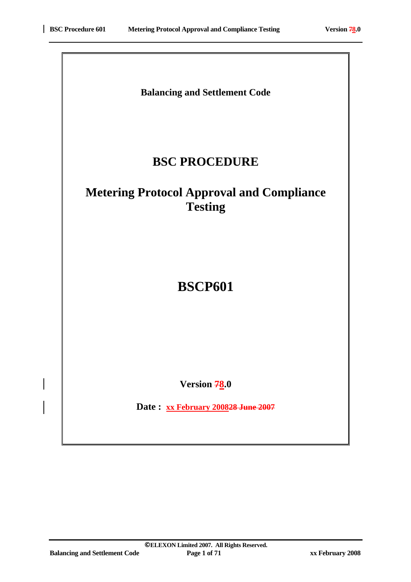# **Balancing and Settlement Code**

# **BSC PROCEDURE**

# **Metering Protocol Approval and Compliance Testing**

# **BSCP601**

**Version 78.0** 

**Date : xx February 200828 June 2007**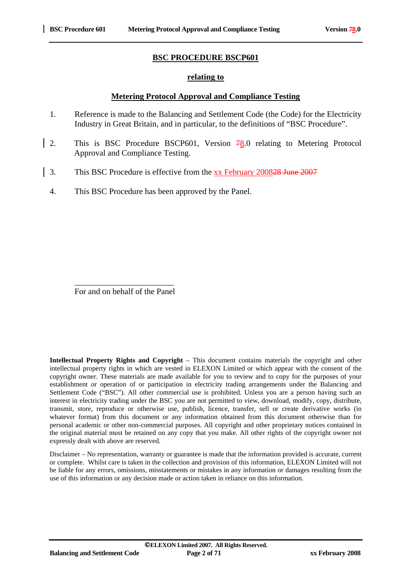#### **BSC PROCEDURE BSCP601**

#### **relating to**

#### **Metering Protocol Approval and Compliance Testing**

- 1. Reference is made to the Balancing and Settlement Code (the Code) for the Electricity Industry in Great Britain, and in particular, to the definitions of "BSC Procedure".
- 2. This is BSC Procedure BSCP601, Version 78.0 relating to Metering Protocol Approval and Compliance Testing.
- 3. This BSC Procedure is effective from the xx February 200828 June 2007
- 4. This BSC Procedure has been approved by the Panel.

For and on behalf of the Panel

 $\frac{1}{\sqrt{2}}$  ,  $\frac{1}{\sqrt{2}}$  ,  $\frac{1}{\sqrt{2}}$  ,  $\frac{1}{\sqrt{2}}$  ,  $\frac{1}{\sqrt{2}}$  ,  $\frac{1}{\sqrt{2}}$  ,  $\frac{1}{\sqrt{2}}$  ,  $\frac{1}{\sqrt{2}}$  ,  $\frac{1}{\sqrt{2}}$  ,  $\frac{1}{\sqrt{2}}$  ,  $\frac{1}{\sqrt{2}}$  ,  $\frac{1}{\sqrt{2}}$  ,  $\frac{1}{\sqrt{2}}$  ,  $\frac{1}{\sqrt{2}}$  ,  $\frac{1}{\sqrt{2}}$ 

**Intellectual Property Rights and Copyright** – This document contains materials the copyright and other intellectual property rights in which are vested in ELEXON Limited or which appear with the consent of the copyright owner. These materials are made available for you to review and to copy for the purposes of your establishment or operation of or participation in electricity trading arrangements under the Balancing and Settlement Code ("BSC"). All other commercial use is prohibited. Unless you are a person having such an interest in electricity trading under the BSC you are not permitted to view, download, modify, copy, distribute, transmit, store, reproduce or otherwise use, publish, licence, transfer, sell or create derivative works (in whatever format) from this document or any information obtained from this document otherwise than for personal academic or other non-commercial purposes. All copyright and other proprietary notices contained in the original material must be retained on any copy that you make. All other rights of the copyright owner not expressly dealt with above are reserved.

Disclaimer – No representation, warranty or guarantee is made that the information provided is accurate, current or complete. Whilst care is taken in the collection and provision of this information, ELEXON Limited will not be liable for any errors, omissions, misstatements or mistakes in any information or damages resulting from the use of this information or any decision made or action taken in reliance on this information.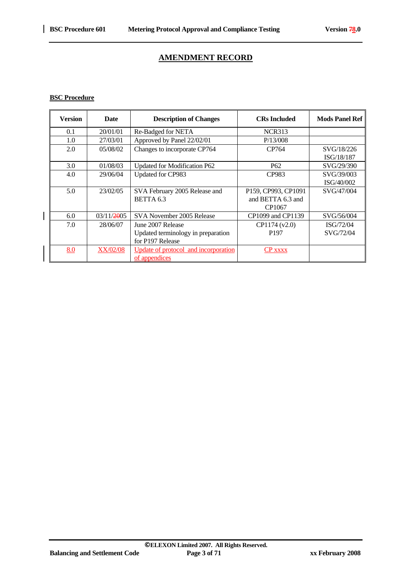$\overline{\phantom{a}}$ 

# **AMENDMENT RECORD**

#### **BSC Procedure**

| <b>Version</b> | <b>Date</b>     | <b>Description of Changes</b>        | <b>CRs Included</b> | <b>Mods Panel Ref</b> |
|----------------|-----------------|--------------------------------------|---------------------|-----------------------|
| 0.1            | 20/01/01        | Re-Badged for NETA                   | <b>NCR313</b>       |                       |
| 1.0            | 27/03/01        | Approved by Panel 22/02/01           | P/13/008            |                       |
| 2.0            | 05/08/02        | Changes to incorporate CP764         | CP764               | SVG/18/226            |
|                |                 |                                      |                     | ISG/18/187            |
| 3.0            | 01/08/03        | Updated for Modification P62         | P <sub>62</sub>     | SVG/29/390            |
| 4.0            | 29/06/04        | Updated for CP983                    | CP983               | SVG/39/003            |
|                |                 |                                      |                     | ISG/40/002            |
| 5.0            | 23/02/05        | SVA February 2005 Release and        | P159, CP993, CP1091 | SVG/47/004            |
|                |                 | BETTA 6.3                            | and BETTA 6.3 and   |                       |
|                |                 |                                      | CP1067              |                       |
| 6.0            | 03/11/2005      | SVA November 2005 Release            | CP1099 and CP1139   | SVG/56/004            |
| 7.0            | 28/06/07        | June 2007 Release                    | CP1174 (v2.0)       | ISG/72/04             |
|                |                 | Updated terminology in preparation   | P <sub>197</sub>    | SVG/72/04             |
|                |                 | for P197 Release                     |                     |                       |
| 8.0            | <b>XX/02/08</b> | Update of protocol and incorporation | <b>CP</b> xxxx      |                       |
|                |                 | of appendices                        |                     |                       |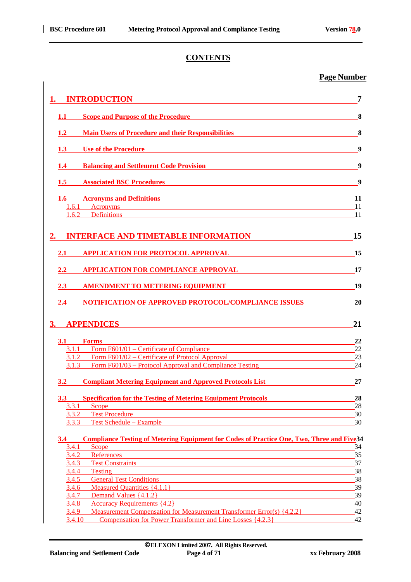# **CONTENTS**

### **Page Number**

|                  | <b>INTRODUCTION</b>                                                                                                                                                                                                                                                                                                          | 7        |
|------------------|------------------------------------------------------------------------------------------------------------------------------------------------------------------------------------------------------------------------------------------------------------------------------------------------------------------------------|----------|
| 1.1              | <b>Scope and Purpose of the Procedure</b><br><u> 1989 - John Stein, Amerikaansk politiker (</u>                                                                                                                                                                                                                              | 8        |
| 1.2              | <b>Main Users of Procedure and their Responsibilities</b>                                                                                                                                                                                                                                                                    | 8        |
| <b>1.3</b>       | Use of the <u>Procedure and the contract of the Procedure</u>                                                                                                                                                                                                                                                                | 9        |
| 1.4              | <b>Balancing and Settlement Code Provision Settlement Code Provision</b>                                                                                                                                                                                                                                                     | 9        |
| 1.5              | <b>Associated BSC Procedures</b>                                                                                                                                                                                                                                                                                             | 9        |
|                  | <b>1.6</b> •• Acronyms and Definitions<br><u> 1980 - Johann Barn, mars ar breithinn ar breithinn an t-Alban ann an t-Alban ann an t-Alban ann an t-Alban a</u>                                                                                                                                                               | 11       |
| 1.6.1<br>1.6.2   | Acronyms experience and the contract of the contract of the contract of the contract of the contract of the contract of the contract of the contract of the contract of the contract of the contract of the contract of the co<br>Definitions <b>Definitions Definitions Definitions Definitions Definitions Definitions</b> | 11<br>11 |
|                  | <b>INTERFACE AND TIMETABLE INFORMATION</b>                                                                                                                                                                                                                                                                                   | 15       |
| 2.1              | <b>APPLICATION FOR PROTOCOL APPROVAL</b>                                                                                                                                                                                                                                                                                     | 15       |
| $2.2^{\circ}$    | <b>APPLICATION FOR COMPLIANCE APPROVAL</b>                                                                                                                                                                                                                                                                                   | 17       |
| 2.3              | <b>AMENDMENT TO METERING EQUIPMENT</b>                                                                                                                                                                                                                                                                                       | 19       |
| $2.4\phantom{0}$ | <b>NOTIFICATION OF APPROVED PROTOCOL/COMPLIANCE ISSUES</b>                                                                                                                                                                                                                                                                   | 20       |
| 3.               | <b>APPENDICES</b>                                                                                                                                                                                                                                                                                                            | 21       |
| 3.1 Forms        |                                                                                                                                                                                                                                                                                                                              | 22       |
|                  | 3.1.1 Form F601/01 – Certificate of Compliance                                                                                                                                                                                                                                                                               | 22       |
|                  | 3.1.2 Form F601/02 – Certificate of Protocol Approval                                                                                                                                                                                                                                                                        | 23       |
|                  | 3.1.3 Form F601/03 – Protocol Approval and Compliance Testing                                                                                                                                                                                                                                                                | 24       |
| 3.2              | <b>Compliant Metering Equipment and Approved Protocols List</b>                                                                                                                                                                                                                                                              | 27       |
| 3.3 <sub>1</sub> | <b>Specification for the Testing of Metering Equipment Protocols</b>                                                                                                                                                                                                                                                         | 28       |
| 3.3.1            | Scope                                                                                                                                                                                                                                                                                                                        | 28       |
| 3.3.2            | <b>Test Procedure</b>                                                                                                                                                                                                                                                                                                        | 30       |
| 3.3.3            | Test Schedule - Example                                                                                                                                                                                                                                                                                                      | 30       |
| 3.4              | <b>Compliance Testing of Metering Equipment for Codes of Practice One, Two, Three and Five34</b>                                                                                                                                                                                                                             |          |
| 3.4.1            | Scope                                                                                                                                                                                                                                                                                                                        | 34       |
| 3.4.2            | References                                                                                                                                                                                                                                                                                                                   | 35       |
| 3.4.3            | <b>Test Constraints</b>                                                                                                                                                                                                                                                                                                      | 37       |
| 3.4.4<br>3.4.5   | <b>Testing</b><br><b>General Test Conditions</b>                                                                                                                                                                                                                                                                             | 38<br>38 |
|                  | Measured Quantities {4.1.1}                                                                                                                                                                                                                                                                                                  | 39       |
| 3.4.6<br>3.4.7   | Demand Values {4.1.2}                                                                                                                                                                                                                                                                                                        | 39       |
| 3.4.8            | <b>Accuracy Requirements {4.2}</b>                                                                                                                                                                                                                                                                                           | 40       |
| 3.4.9            | Measurement Compensation for Measurement Transformer Error(s) {4.2.2}                                                                                                                                                                                                                                                        | 42       |
| 3.4.10           | Compensation for Power Transformer and Line Losses {4.2.3}                                                                                                                                                                                                                                                                   | 42       |
|                  |                                                                                                                                                                                                                                                                                                                              |          |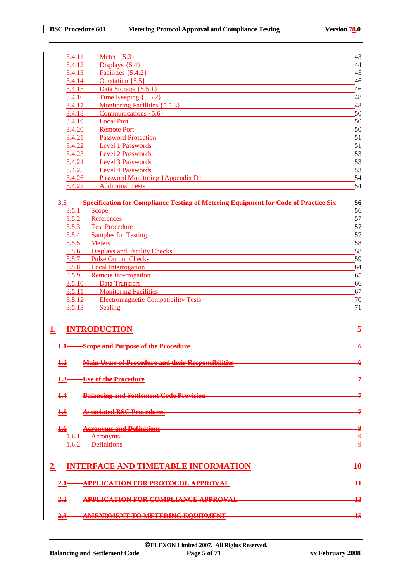| 3.4.11  | Meter $\{5.3\}$                                                                                                                                                                                                                     | 43       |
|---------|-------------------------------------------------------------------------------------------------------------------------------------------------------------------------------------------------------------------------------------|----------|
| 3.4.12  | Displays $\{5.4\}$                                                                                                                                                                                                                  | 44       |
| 3.4.13  | Facilities $\{5.4.2\}$                                                                                                                                                                                                              | 45       |
| 3.4.14  | Outstation $\{5.5\}$                                                                                                                                                                                                                | 46       |
| 3.4.15  | Data Storage $\{5.5.1\}$                                                                                                                                                                                                            | 46       |
| 3.4.16  | Time Keeping $\{5.5.2\}$                                                                                                                                                                                                            | 48       |
| 3.4.17  | Monitoring Facilities {5.5.3}                                                                                                                                                                                                       | 48       |
| 3.4.18  | Communications {5.6}                                                                                                                                                                                                                | 50       |
| 3.4.19  | <b>Local Port</b>                                                                                                                                                                                                                   | 50       |
| 3.4.20  | <b>Remote Port</b>                                                                                                                                                                                                                  | 50       |
| 3.4.21  | <b>Password Protection</b>                                                                                                                                                                                                          | 51       |
| 3.4.22  | Level 1 Passwords                                                                                                                                                                                                                   | 51       |
| 3.4.23  | <b>Level 2 Passwords</b>                                                                                                                                                                                                            | 53       |
| 3.4.24  | Level 3 Passwords                                                                                                                                                                                                                   | 53       |
| 3.4.25  | <b>Level 4 Passwords</b>                                                                                                                                                                                                            | 53       |
| 3.4.26  | Password Monitoring {Appendix D}                                                                                                                                                                                                    | 54       |
| 3.4.27  | <b>Additional Tests</b>                                                                                                                                                                                                             | 54       |
|         |                                                                                                                                                                                                                                     |          |
| 3.5     | <b>Specification for Compliance Testing of Metering Equipment for Code of Practice Six</b>                                                                                                                                          | 56       |
|         | $3.5.1$ Scope                                                                                                                                                                                                                       | 56       |
| 3.5.2   | References                                                                                                                                                                                                                          | 57       |
| 3.5.3   | <b>Test Procedure</b>                                                                                                                                                                                                               | 57       |
| 3.5.4   | <b>Samples for Testing</b>                                                                                                                                                                                                          | 57       |
|         | 3.5.5 Meters                                                                                                                                                                                                                        | 58       |
|         | 3.5.6 Displays and Facility Checks                                                                                                                                                                                                  | 58       |
|         | 3.5.7 Pulse Output Checks                                                                                                                                                                                                           | 59       |
| 3.5.8   | <b>Local Interrogation</b>                                                                                                                                                                                                          | 64       |
| 3.5.9   | <b>Remote Interrogation</b>                                                                                                                                                                                                         | 65       |
| 3.5.10  | <b>Data Transfers</b><br>3.5.11 Monitoring Facilities                                                                                                                                                                               | 66       |
| 3.5.12  | <b>Electromagnetic Compatibility Tests</b>                                                                                                                                                                                          | 67<br>70 |
| 3.5.13  | <b>Sealing</b>                                                                                                                                                                                                                      | 71       |
|         |                                                                                                                                                                                                                                     |          |
|         |                                                                                                                                                                                                                                     |          |
|         | <b>INTRODUCTION</b>                                                                                                                                                                                                                 |          |
|         |                                                                                                                                                                                                                                     |          |
|         | <b>Scope and Purpose of the Procedure</b>                                                                                                                                                                                           |          |
|         |                                                                                                                                                                                                                                     |          |
|         | Main Users of Procedure and their Responsibilities <b>Example 2016</b>                                                                                                                                                              |          |
|         |                                                                                                                                                                                                                                     |          |
|         | <u>Use of the Procedure</u>                                                                                                                                                                                                         | 그        |
|         |                                                                                                                                                                                                                                     |          |
| $\pm 4$ | <del>Balancing and Settlement Code Provision Financial Code Provision</del> Financial Code Provision                                                                                                                                |          |
|         | Associated BSC Procedures <b>Associated BSC Procedures</b>                                                                                                                                                                          |          |
| $1.5 -$ |                                                                                                                                                                                                                                     |          |
|         | 1.6 Acronyms and Definitions <b>Example 20</b> October 2014                                                                                                                                                                         |          |
|         | <u>1.6.1 Acronyms</u> and the acronomic contract of the set of the set of the set of the set of the set of the set of the set of the set of the set of the set of the set of the set of the set of the set of the set of the set of | م        |
|         | 1.6.2 Definitions                                                                                                                                                                                                                   | م        |
|         |                                                                                                                                                                                                                                     |          |
|         |                                                                                                                                                                                                                                     |          |
|         | 2. INTERFACE AND TIMETABLE INFORMATION 10                                                                                                                                                                                           |          |
|         |                                                                                                                                                                                                                                     |          |
| 21      | APPLICATION FOR PROTOCOL APPROVAL 11                                                                                                                                                                                                |          |
|         |                                                                                                                                                                                                                                     |          |
|         | APPLICATION FOR COMPLIANCE APPROVAL 13                                                                                                                                                                                              |          |
|         |                                                                                                                                                                                                                                     |          |
|         | 2.3 AMENDMENT TO METERING EQUIPMENT 2.3 AMENDMENT 15                                                                                                                                                                                |          |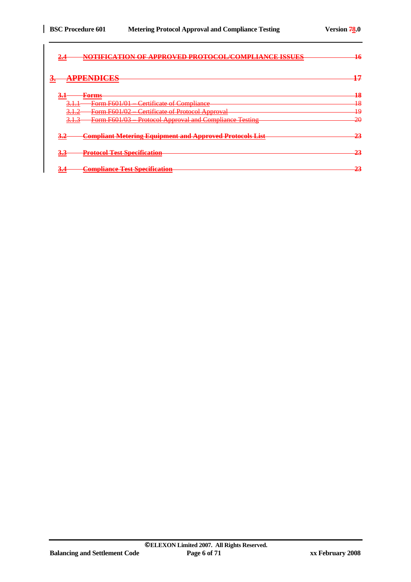| -no<br>--------------------------------                                                                    | MOTIFICATION OF ADDDOVED DDOTOCOL /COMDI LAMCE ISSUES<br><b>FIFA HANG BYAYAY FIRY JULIE TI THE TELT FE THUL AT A THE THE</b> |                 |
|------------------------------------------------------------------------------------------------------------|------------------------------------------------------------------------------------------------------------------------------|-----------------|
| <b>DDENNICES</b><br>З.<br>74 V W W W V I V I V V V V V                                                     |                                                                                                                              | 17              |
| <del>3.1</del><br><del>Forms</del>                                                                         |                                                                                                                              | $\overline{18}$ |
| $F_{\alpha r}$ $F_{\alpha}$ $\alpha$ $\beta$ $\beta$ $\beta$ $\beta$<br><del>roma roo i/o i</del><br>J.H.I | Certificate of Compliance                                                                                                    | $\overline{18}$ |
| $F_{\alpha r} = F601/02$<br>212<br><del>romn roo<i>noz</i></del><br><b>PARTICIPAL</b>                      | <b>Certificate of Protocol Approval</b>                                                                                      | 10<br>≖         |
| $F_{\alpha r} = F601/02$<br><del>.</del><br><del>romm roomos</del>                                         | <b>Drotocol</b> Approval and Compliance Tosting<br><u> Рююсог дрргоуаг ана сотприансе темпе</u>                              | <del>20</del>   |
| ರಾಗ                                                                                                        | <b>Compliant Metering Equipment and Approved Protocols List</b>                                                              | າາ              |
| <b>Protocol Test Specification</b><br>ರಗಾ                                                                  |                                                                                                                              | 23              |
| <b>Compliance Test Specification</b><br>$\sim$                                                             |                                                                                                                              | 23              |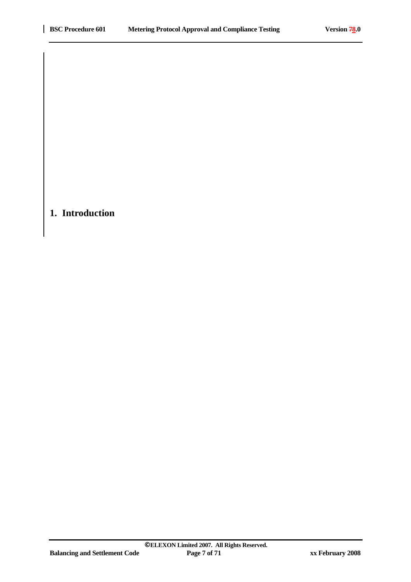# **1. Introduction**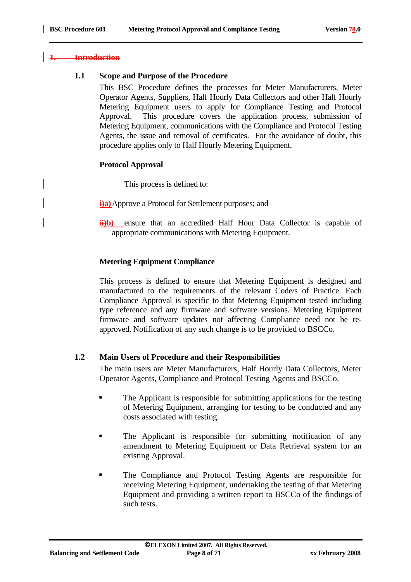#### **1. Introduction**

#### **1.1 Scope and Purpose of the Procedure**

This BSC Procedure defines the processes for Meter Manufacturers, Meter Operator Agents, Suppliers, Half Hourly Data Collectors and other Half Hourly Metering Equipment users to apply for Compliance Testing and Protocol Approval. This procedure covers the application process, submission of Metering Equipment, communications with the Compliance and Protocol Testing Agents, the issue and removal of certificates. For the avoidance of doubt, this procedure applies only to Half Hourly Metering Equipment.

#### **Protocol Approval**

This process is defined to:

**i)a**) Approve a Protocol for Settlement purposes; and

**ii**)**b**) ensure that an accredited Half Hour Data Collector is capable of appropriate communications with Metering Equipment.

#### **Metering Equipment Compliance**

This process is defined to ensure that Metering Equipment is designed and manufactured to the requirements of the relevant Code/s of Practice. Each Compliance Approval is specific to that Metering Equipment tested including type reference and any firmware and software versions. Metering Equipment firmware and software updates not affecting Compliance need not be reapproved. Notification of any such change is to be provided to BSCCo.

#### **1.2 Main Users of Procedure and their Responsibilities**

The main users are Meter Manufacturers, Half Hourly Data Collectors, Meter Operator Agents, Compliance and Protocol Testing Agents and BSCCo.

- The Applicant is responsible for submitting applications for the testing of Metering Equipment, arranging for testing to be conducted and any costs associated with testing.
- **The Applicant is responsible for submitting notification of any** amendment to Metering Equipment or Data Retrieval system for an existing Approval.
- The Compliance and Protocol Testing Agents are responsible for receiving Metering Equipment, undertaking the testing of that Metering Equipment and providing a written report to BSCCo of the findings of such tests.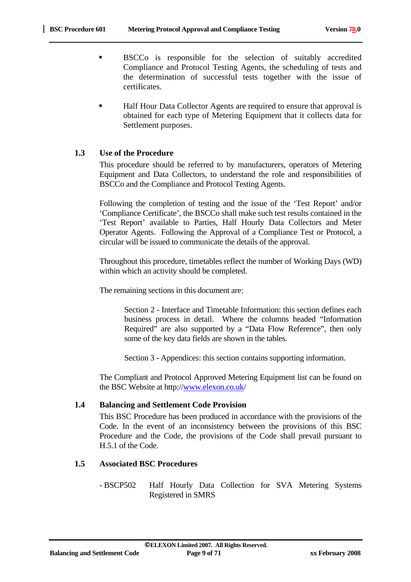- BSCCo is responsible for the selection of suitably accredited Compliance and Protocol Testing Agents, the scheduling of tests and the determination of successful tests together with the issue of certificates.
- Half Hour Data Collector Agents are required to ensure that approval is obtained for each type of Metering Equipment that it collects data for Settlement purposes.

#### **1.3 Use of the Procedure**

This procedure should be referred to by manufacturers, operators of Metering Equipment and Data Collectors, to understand the role and responsibilities of BSCCo and the Compliance and Protocol Testing Agents.

Following the completion of testing and the issue of the 'Test Report' and/or 'Compliance Certificate', the BSCCo shall make such test results contained in the 'Test Report' available to Parties, Half Hourly Data Collectors and Meter Operator Agents. Following the Approval of a Compliance Test or Protocol, a circular will be issued to communicate the details of the approval.

Throughout this procedure, timetables reflect the number of Working Days (WD) within which an activity should be completed.

The remaining sections in this document are:

Section 2 - Interface and Timetable Information: this section defines each business process in detail. Where the columns headed "Information Required" are also supported by a "Data Flow Reference", then only some of the key data fields are shown in the tables.

Section 3 - Appendices: this section contains supporting information.

The Compliant and Protocol Approved Metering Equipment list can be found on the BSC Website at http://www.elexon.co.uk/

#### **1.4 Balancing and Settlement Code Provision**

This BSC Procedure has been produced in accordance with the provisions of the Code. In the event of an inconsistency between the provisions of this BSC Procedure and the Code, the provisions of the Code shall prevail pursuant to H.5.1 of the Code.

#### **1.5 Associated BSC Procedures**

- BSCP502 Half Hourly Data Collection for SVA Metering Systems Registered in SMRS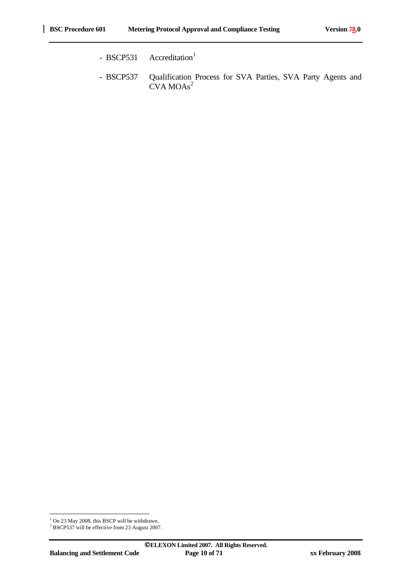- BSCP531  $\text{Accreditation}^1$
- BSCP537 Qualification Process for SVA Parties, SVA Party Agents and CVA MOAs<sup>2</sup>

<sup>&</sup>lt;sup>1</sup> On 23 May 2008, this BSCP will be withdrawn.<br><sup>2</sup> BSCP537 will be effective from 23 August 2007.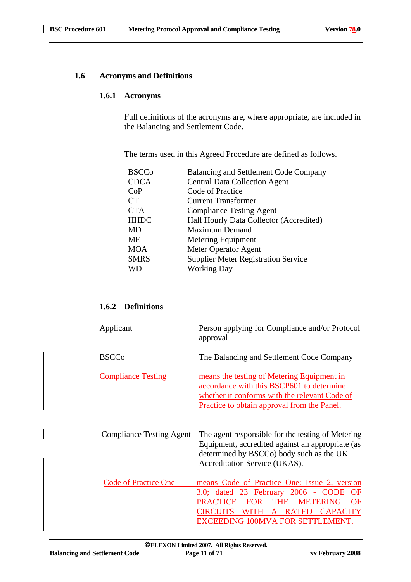#### **1.6 Acronyms and Definitions**

#### **1.6.1 Acronyms**

Full definitions of the acronyms are, where appropriate, are included in the Balancing and Settlement Code.

The terms used in this Agreed Procedure are defined as follows.

| <b>BSCCo</b> | <b>Balancing and Settlement Code Company</b> |
|--------------|----------------------------------------------|
| <b>CDCA</b>  | <b>Central Data Collection Agent</b>         |
| CoP          | Code of Practice                             |
| <b>CT</b>    | <b>Current Transformer</b>                   |
| <b>CTA</b>   | <b>Compliance Testing Agent</b>              |
| <b>HHDC</b>  | Half Hourly Data Collector (Accredited)      |
| MD           | <b>Maximum Demand</b>                        |
| ME           | Metering Equipment                           |
| <b>MOA</b>   | Meter Operator Agent                         |
| <b>SMRS</b>  | <b>Supplier Meter Registration Service</b>   |
| <b>WD</b>    | <b>Working Day</b>                           |
|              |                                              |

#### **1.6.2 Definitions**

| Applicant                   | Person applying for Compliance and/or Protocol<br>approval                                                                                                                                                                                                                   |
|-----------------------------|------------------------------------------------------------------------------------------------------------------------------------------------------------------------------------------------------------------------------------------------------------------------------|
| <b>BSCCo</b>                | The Balancing and Settlement Code Company                                                                                                                                                                                                                                    |
| <b>Compliance Testing</b>   | means the testing of Metering Equipment in<br>accordance with this BSCP601 to determine<br>whether it conforms with the relevant Code of<br><b>Practice to obtain approval from the Panel.</b>                                                                               |
| Compliance Testing Agent    | The agent responsible for the testing of Metering<br>Equipment, accredited against an appropriate (as<br>determined by BSCCo) body such as the UK<br>Accreditation Service (UKAS).                                                                                           |
| <b>Code of Practice One</b> | means Code of Practice One: Issue 2, version<br>3.0; dated 23 February 2006<br><b>CODE</b><br>OF<br><b>PRACTICE</b><br><b>FOR</b><br>THE<br><b>METERING</b><br>OF<br>WITH<br><b>RATED</b><br><b>CAPACITY</b><br>CIRCUITS<br>$\mathbf{A}$<br>EXCEEDING 100MVA FOR SETTLEMENT. |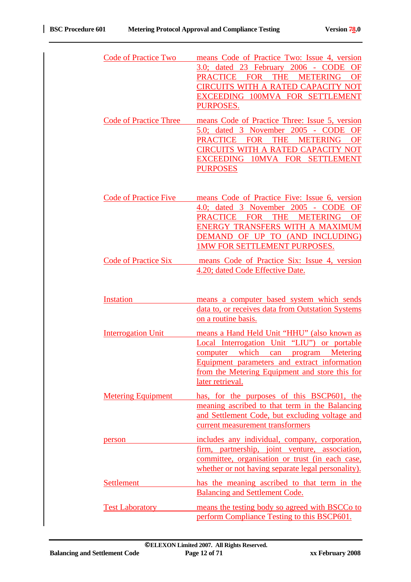| <b>Code of Practice Two</b>   | means Code of Practice Two: Issue 4, version<br>3.0; dated 23 February 2006 - CODE<br><b>OF</b><br><b>THE</b><br>PRACTICE FOR<br><b>METERING</b><br><b>OF</b><br>CIRCUITS WITH A RATED CAPACITY NOT<br>EXCEEDING 100MVA FOR SETTLEMENT<br>PURPOSES.                                            |
|-------------------------------|------------------------------------------------------------------------------------------------------------------------------------------------------------------------------------------------------------------------------------------------------------------------------------------------|
| <b>Code of Practice Three</b> | means Code of Practice Three: Issue 5, version<br>5.0; dated 3 November 2005 - CODE<br>OF<br>PRACTICE FOR THE<br><b>METERING</b><br><b>OF</b><br><b>CIRCUITS WITH A RATED CAPACITY NOT</b><br>10MVA FOR SETTLEMENT<br><b>EXCEEDING</b><br><b>PURPOSES</b>                                      |
| <b>Code of Practice Five</b>  | means Code of Practice Five: Issue 6, version<br>4.0; dated 3 November 2005 - CODE<br><b>OF</b><br><b>PRACTICE</b><br><b>THE</b><br><b>METERING</b><br><b>FOR</b><br><b>OF</b><br>ENERGY TRANSFERS WITH A MAXIMUM<br>DEMAND OF UP TO<br>(AND INCLUDING)<br><b>1MW FOR SETTLEMENT PURPOSES.</b> |
| <b>Code of Practice Six</b>   | means Code of Practice Six: Issue 4, version<br>4.20; dated Code Effective Date.                                                                                                                                                                                                               |
| Instation                     | means a computer based system which sends<br>data to, or receives data from Outstation Systems<br>on a routine basis.                                                                                                                                                                          |
| <b>Interrogation Unit</b>     | means a Hand Held Unit "HHU" (also known as<br>Local Interrogation Unit "LIU") or portable<br>computer which<br>program Metering<br>can<br><u>Equipment parameters and extract information</u><br>from the Metering Equipment and store this for<br>later retrieval.                           |
| <b>Metering Equipment</b>     | has, for the purposes of this BSCP601, the<br>meaning ascribed to that term in the Balancing<br>and Settlement Code, but excluding voltage and<br>current measurement transformers                                                                                                             |
| person                        | includes any individual, company, corporation,<br>firm, partnership, joint venture, association,<br>committee, organisation or trust (in each case,<br>whether or not having separate legal personality).                                                                                      |
| <b>Settlement</b>             | has the meaning ascribed to that term in the<br><b>Balancing and Settlement Code.</b>                                                                                                                                                                                                          |
| <b>Test Laboratory</b>        | means the testing body so agreed with BSCCo to<br>perform Compliance Testing to this BSCP601.                                                                                                                                                                                                  |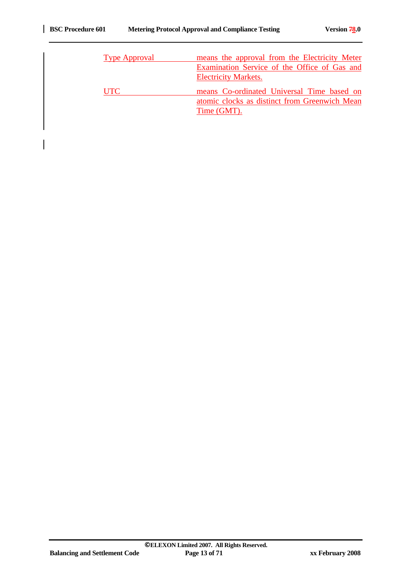| <b>Type Approval</b> | means the approval from the Electricity Meter<br>Examination Service of the Office of Gas and |
|----------------------|-----------------------------------------------------------------------------------------------|
| <b>UTC</b>           | <b>Electricity Markets.</b><br>means Co-ordinated Universal Time based on                     |
|                      | atomic clocks as distinct from Greenwich Mean<br>Time (GMT).                                  |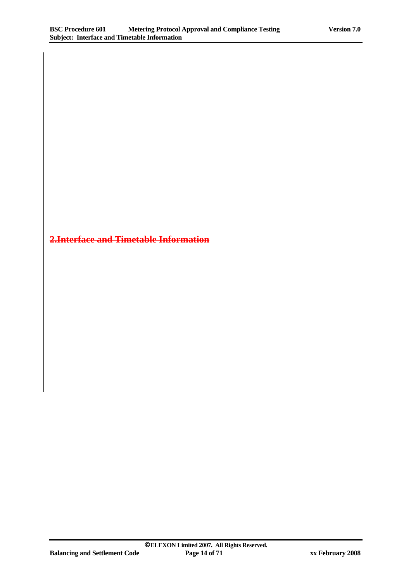# **2.Interface and Timetable Information**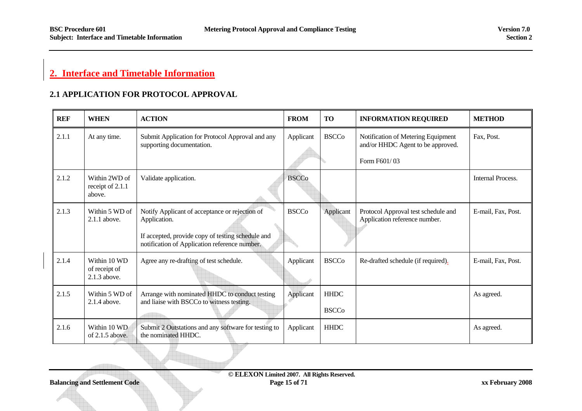# **2. Interface and Timetable Information**

## **2.1 APPLICATION FOR PROTOCOL APPROVAL**

| <b>REF</b> | <b>WHEN</b>                                   | <b>ACTION</b>                                                                                                                                                        | <b>FROM</b>  | <b>TO</b>                   | <b>INFORMATION REQUIRED</b>                                                             | <b>METHOD</b>      |
|------------|-----------------------------------------------|----------------------------------------------------------------------------------------------------------------------------------------------------------------------|--------------|-----------------------------|-----------------------------------------------------------------------------------------|--------------------|
| 2.1.1      | At any time.                                  | Submit Application for Protocol Approval and any<br>supporting documentation.                                                                                        | Applicant    | <b>BSCCo</b>                | Notification of Metering Equipment<br>and/or HHDC Agent to be approved.<br>Form F601/03 | Fax, Post.         |
| 2.1.2      | Within 2WD of<br>receipt of 2.1.1<br>above.   | Validate application.                                                                                                                                                | <b>BSCCo</b> |                             |                                                                                         | Internal Process.  |
| 2.1.3      | Within 5 WD of<br>2.1.1 above.                | Notify Applicant of acceptance or rejection of<br>Application.<br>If accepted, provide copy of testing schedule and<br>notification of Application reference number. | <b>BSCCo</b> | Applicant                   | Protocol Approval test schedule and<br>Application reference number.                    | E-mail, Fax, Post. |
| 2.1.4      | Within 10 WD<br>of receipt of<br>2.1.3 above. | Agree any re-drafting of test schedule.                                                                                                                              | Applicant    | <b>BSCCo</b>                | Re-drafted schedule (if required).                                                      | E-mail, Fax, Post. |
| 2.1.5      | Within 5 WD of<br>2.1.4 above.                | Arrange with nominated HHDC to conduct testing<br>and liaise with BSCCo to witness testing.                                                                          | Applicant    | <b>HHDC</b><br><b>BSCCo</b> |                                                                                         | As agreed.         |
| 2.1.6      | Within 10 WD<br>of $2.1.5$ above.             | Submit 2 Outstations and any software for testing to<br>the nominated HHDC.                                                                                          | Applicant    | <b>HHDC</b>                 |                                                                                         | As agreed.         |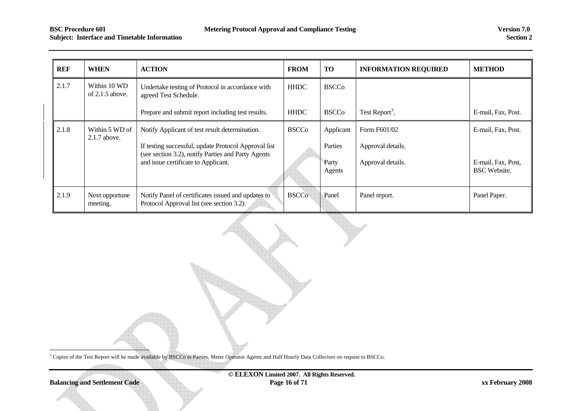# **Subject:** Interface and Timetable Information Section 2

| <b>REF</b> | <b>WHEN</b>                       | <b>ACTION</b>                                                                                              | <b>FROM</b>  | <b>TO</b>       | <b>INFORMATION REQUIRED</b> | <b>METHOD</b>                             |
|------------|-----------------------------------|------------------------------------------------------------------------------------------------------------|--------------|-----------------|-----------------------------|-------------------------------------------|
| 2.1.7      | Within 10 WD<br>of $2.1.5$ above. | Undertake testing of Protocol in accordance with<br>agreed Test Schedule.                                  | <b>HHDC</b>  | <b>BSCCo</b>    |                             |                                           |
|            |                                   | Prepare and submit report including test results.                                                          | <b>HHDC</b>  | <b>BSCCo</b>    | Test Report <sup>3</sup> .  | E-mail, Fax, Post.                        |
| 2.1.8      | Within 5 WD of<br>2.1.7 above.    | Notify Applicant of test result determination.                                                             | <b>BSCCo</b> | Applicant       | Form F601/02                | E-mail, Fax, Post.                        |
|            |                                   | If testing successful, update Protocol Approval list<br>(see section 3.2), notify Parties and Party Agents |              | Parties         | Approval details.           |                                           |
|            |                                   | and issue certificate to Applicant.                                                                        |              | Party<br>Agents | Approval details.           | E-mail, Fax, Post,<br><b>BSC</b> Website. |
| 2.1.9      | Next opportune<br>meeting.        | Notify Panel of certificates issued and updates to<br>Protocol Approval list (see section 3.2).            | <b>BSCCo</b> | Panel           | Panel report.               | Panel Paper.                              |

<sup>3</sup> Copies of the Test Report will be made available by BSCCo to Parties, Meter Operator Agents and Half Hourly Data Collectors on request to BSCCo.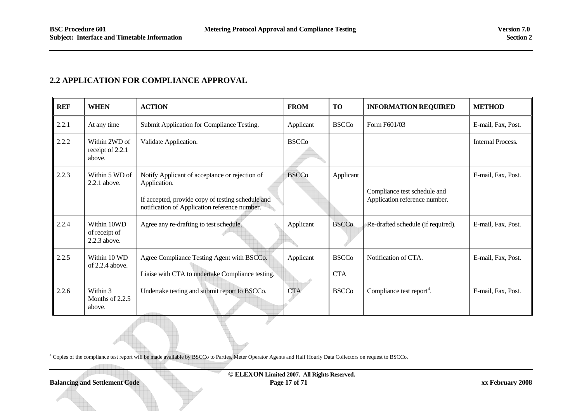#### **2.2 APPLICATION FOR COMPLIANCE APPROVAL**

| <b>REF</b> | <b>WHEN</b>                                  | <b>ACTION</b>                                                                                                                                                        | <b>FROM</b>  | <b>TO</b>                  | <b>INFORMATION REQUIRED</b>                                   | <b>METHOD</b>            |
|------------|----------------------------------------------|----------------------------------------------------------------------------------------------------------------------------------------------------------------------|--------------|----------------------------|---------------------------------------------------------------|--------------------------|
| 2.2.1      | At any time                                  | Submit Application for Compliance Testing.                                                                                                                           | Applicant    | <b>BSCCo</b>               | Form F601/03                                                  | E-mail, Fax, Post.       |
| 2.2.2      | Within 2WD of<br>receipt of 2.2.1<br>above.  | Validate Application.                                                                                                                                                | <b>BSCCo</b> |                            |                                                               | <b>Internal Process.</b> |
| 2.2.3      | Within 5 WD of<br>$2.2.1$ above.             | Notify Applicant of acceptance or rejection of<br>Application.<br>If accepted, provide copy of testing schedule and<br>notification of Application reference number. | <b>BSCCo</b> | Applicant                  | Compliance test schedule and<br>Application reference number. | E-mail, Fax, Post.       |
| 2.2.4      | Within 10WD<br>of receipt of<br>2.2.3 above. | Agree any re-drafting to test schedule.                                                                                                                              | Applicant    | <b>BSCCo</b>               | Re-drafted schedule (if required).                            | E-mail, Fax, Post.       |
| 2.2.5      | Within 10 WD<br>of 2.2.4 above.              | Agree Compliance Testing Agent with BSCCo.<br>Liaise with CTA to undertake Compliance testing.                                                                       | Applicant    | <b>BSCCo</b><br><b>CTA</b> | Notification of CTA.                                          | E-mail, Fax, Post.       |
| 2.2.6      | Within 3<br>Months of $2.2.5$<br>above.      | Undertake testing and submit report to BSCCo.                                                                                                                        | <b>CTA</b>   | <b>BSCCo</b>               | Compliance test report <sup>4</sup> .                         | E-mail, Fax, Post.       |

4 Copies of the compliance test report will be made available by BSCCo to Parties, Meter Operator Agents and Half Hourly Data Collectors on request to BSCCo.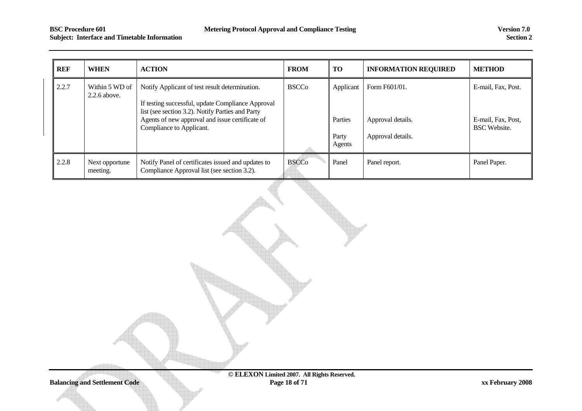| REF   | <b>WHEN</b>                      | <b>ACTION</b>                                                                                                                                                                                                                          | <b>FROM</b>  | <b>TO</b>                               | <b>INFORMATION REQUIRED</b>                             | <b>METHOD</b>                                                   |
|-------|----------------------------------|----------------------------------------------------------------------------------------------------------------------------------------------------------------------------------------------------------------------------------------|--------------|-----------------------------------------|---------------------------------------------------------|-----------------------------------------------------------------|
| 2.2.7 | Within 5 WD of<br>$2.2.6$ above. | Notify Applicant of test result determination.<br>If testing successful, update Compliance Approval<br>list (see section 3.2). Notify Parties and Party<br>Agents of new approval and issue certificate of<br>Compliance to Applicant. | <b>BSCCo</b> | Applicant<br>Parties<br>Party<br>Agents | Form F601/01.<br>Approval details.<br>Approval details. | E-mail, Fax, Post.<br>E-mail, Fax, Post,<br><b>BSC</b> Website. |
| 2.2.8 | Next opportune<br>meeting.       | Notify Panel of certificates issued and updates to<br>Compliance Approval list (see section 3.2).                                                                                                                                      | <b>BSCCo</b> | Panel                                   | Panel report.                                           | Panel Paper.                                                    |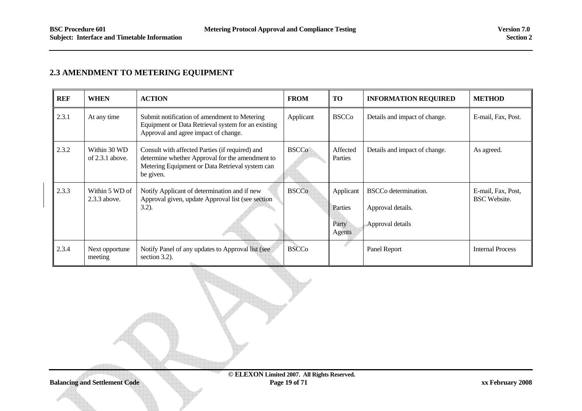#### **2.3 AMENDMENT TO METERING EQUIPMENT**

| <b>REF</b> | <b>WHEN</b>                       | <b>ACTION</b>                                                                                                                                                      | <b>FROM</b>  | <b>TO</b>                               | <b>INFORMATION REQUIRED</b>                                               | <b>METHOD</b>                             |
|------------|-----------------------------------|--------------------------------------------------------------------------------------------------------------------------------------------------------------------|--------------|-----------------------------------------|---------------------------------------------------------------------------|-------------------------------------------|
| 2.3.1      | At any time                       | Submit notification of amendment to Metering<br>Equipment or Data Retrieval system for an existing<br>Approval and agree impact of change.                         | Applicant    | <b>BSCCo</b>                            | Details and impact of change.                                             | E-mail, Fax, Post.                        |
| 2.3.2      | Within 30 WD<br>of $2.3.1$ above. | Consult with affected Parties (if required) and<br>determine whether Approval for the amendment to<br>Metering Equipment or Data Retrieval system can<br>be given. | <b>BSCCo</b> | Affected<br>Parties                     | Details and impact of change.                                             | As agreed.                                |
| 2.3.3      | Within 5 WD of<br>2.3.3 above.    | Notify Applicant of determination and if new<br>Approval given, update Approval list (see section<br>$3.2$ ).                                                      | <b>BSCCo</b> | Applicant<br>Parties<br>Party<br>Agents | BSCC <sub>o</sub> determination.<br>Approval details.<br>Approval details | E-mail, Fax, Post,<br><b>BSC</b> Website. |
| 2.3.4      | Next opportune<br>meeting         | Notify Panel of any updates to Approval list (see<br>section 3.2).                                                                                                 | <b>BSCCo</b> |                                         | Panel Report                                                              | <b>Internal Process</b>                   |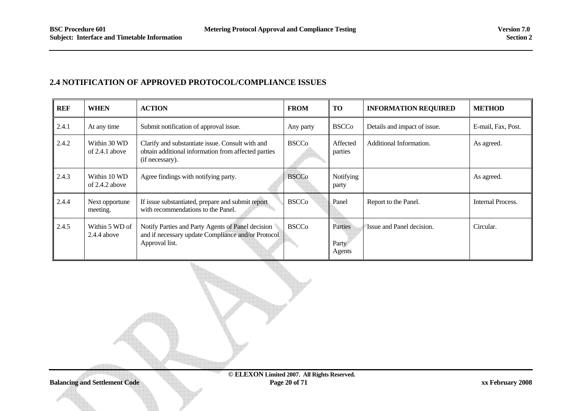#### **2.4 NOTIFICATION OF APPROVED PROTOCOL/COMPLIANCE ISSUES**

| <b>REF</b> | <b>WHEN</b>                      | <b>ACTION</b>                                                                                                              | <b>FROM</b>  | <b>TO</b>                  | <b>INFORMATION REQUIRED</b>  | <b>METHOD</b>      |
|------------|----------------------------------|----------------------------------------------------------------------------------------------------------------------------|--------------|----------------------------|------------------------------|--------------------|
| 2.4.1      | At any time                      | Submit notification of approval issue.                                                                                     | Any party    | <b>BSCCo</b>               | Details and impact of issue. | E-mail, Fax, Post. |
| 2.4.2      | Within 30 WD<br>of 2.4.1 above   | Clarify and substantiate issue. Consult with and<br>obtain additional information from affected parties<br>(if necessary). | <b>BSCCo</b> | Affected<br>parties        | Additional Information.      | As agreed.         |
| 2.4.3      | Within 10 WD<br>of $2.4.2$ above | Agree findings with notifying party.                                                                                       | <b>BSCCo</b> | Notifying<br>party         |                              | As agreed.         |
| 2.4.4      | Next opportune<br>meeting.       | If issue substantiated, prepare and submit report<br>with recommendations to the Panel.                                    | <b>BSCCo</b> | Panel                      | Report to the Panel.         | Internal Process.  |
| 2.4.5      | Within 5 WD of<br>$2.4.4$ above  | Notify Parties and Party Agents of Panel decision<br>and if necessary update Compliance and/or Protocol<br>Approval list.  | <b>BSCCo</b> | Parties<br>Party<br>Agents | Issue and Panel decision.    | Circular.          |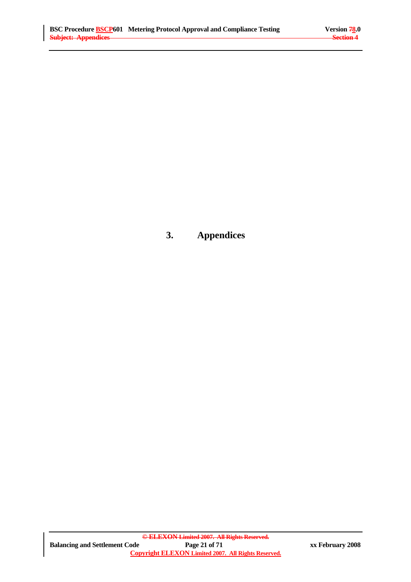# **3. Appendices**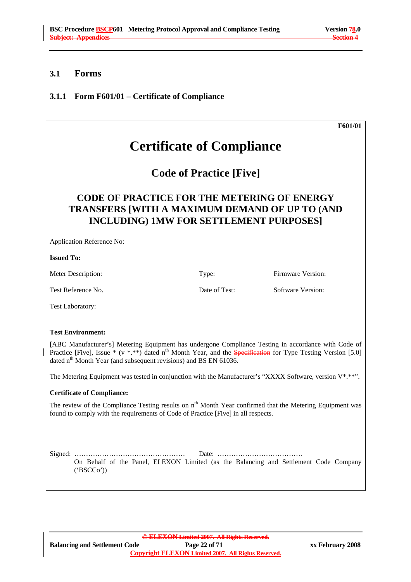## **3.1 Forms**

# **3.1.1 Form F601/01 – Certificate of Compliance**

|                                                                                                                                                                                                                                                                                                                        |               | F601/01           |  |  |
|------------------------------------------------------------------------------------------------------------------------------------------------------------------------------------------------------------------------------------------------------------------------------------------------------------------------|---------------|-------------------|--|--|
| <b>Certificate of Compliance</b>                                                                                                                                                                                                                                                                                       |               |                   |  |  |
| <b>Code of Practice [Five]</b>                                                                                                                                                                                                                                                                                         |               |                   |  |  |
| <b>CODE OF PRACTICE FOR THE METERING OF ENERGY</b><br><b>TRANSFERS [WITH A MAXIMUM DEMAND OF UP TO (AND</b><br><b>INCLUDING) 1MW FOR SETTLEMENT PURPOSES]</b>                                                                                                                                                          |               |                   |  |  |
| Application Reference No:                                                                                                                                                                                                                                                                                              |               |                   |  |  |
| <b>Issued To:</b>                                                                                                                                                                                                                                                                                                      |               |                   |  |  |
| Meter Description:                                                                                                                                                                                                                                                                                                     | Type:         | Firmware Version: |  |  |
| Test Reference No.                                                                                                                                                                                                                                                                                                     | Date of Test: | Software Version: |  |  |
| Test Laboratory:                                                                                                                                                                                                                                                                                                       |               |                   |  |  |
| <b>Test Environment:</b>                                                                                                                                                                                                                                                                                               |               |                   |  |  |
| [ABC Manufacturer's] Metering Equipment has undergone Compliance Testing in accordance with Code of<br>Practice [Five], Issue * (v *.**) dated n <sup>th</sup> Month Year, and the <b>Specification</b> for Type Testing Version [5.0]<br>dated n <sup>th</sup> Month Year (and subsequent revisions) and BS EN 61036. |               |                   |  |  |
| The Metering Equipment was tested in conjunction with the Manufacturer's "XXXX Software, version $V^*$ .**".                                                                                                                                                                                                           |               |                   |  |  |
| <b>Certificate of Compliance:</b>                                                                                                                                                                                                                                                                                      |               |                   |  |  |
| The review of the Compliance Testing results on n <sup>th</sup> Month Year confirmed that the Metering Equipment was<br>found to comply with the requirements of Code of Practice [Five] in all respects.                                                                                                              |               |                   |  |  |
| On Behalf of the Panel, ELEXON Limited (as the Balancing and Settlement Code Company<br>(BSCCo')                                                                                                                                                                                                                       |               |                   |  |  |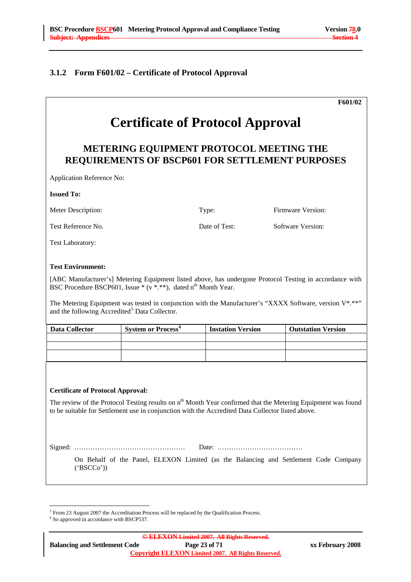#### **3.1.2 Form F601/02 – Certificate of Protocol Approval**

|                           |                                                           |                          | F601/02                                                                                                     |
|---------------------------|-----------------------------------------------------------|--------------------------|-------------------------------------------------------------------------------------------------------------|
|                           | <b>Certificate of Protocol Approval</b>                   |                          |                                                                                                             |
|                           | METERING EQUIPMENT PROTOCOL MEETING THE                   |                          | <b>REQUIREMENTS OF BSCP601 FOR SETTLEMENT PURPOSES</b>                                                      |
| Application Reference No: |                                                           |                          |                                                                                                             |
| <b>Issued To:</b>         |                                                           |                          |                                                                                                             |
| Meter Description:        |                                                           | Type:                    | Firmware Version:                                                                                           |
| Test Reference No.        |                                                           | Date of Test:            | <b>Software Version:</b>                                                                                    |
| <b>Test Laboratory:</b>   |                                                           |                          |                                                                                                             |
|                           |                                                           |                          |                                                                                                             |
|                           | and the following Accredited <sup>5</sup> Data Collector. |                          | The Metering Equipment was tested in conjunction with the Manufacturer's "XXXX Software, version $V^*$ .**" |
| <b>Data Collector</b>     | System or Process <sup>6</sup>                            | <b>Instation Version</b> | <b>Outstation Version</b>                                                                                   |
|                           |                                                           |                          |                                                                                                             |

 $^5$  From 23 August 2007 the Accreditation Process will be replaced by the Qualification Process.

 $\frac{6}{5}$ So approved in accordance with BSCP537.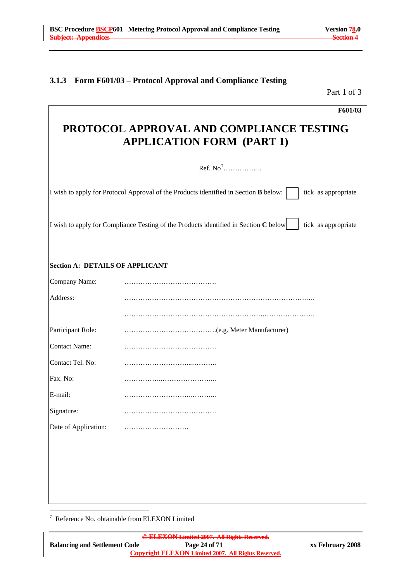#### **3.1.3 Form F601/03 – Protocol Approval and Compliance Testing**

Part 1 of 3

|                                        | F601/03                                                                                                       |  |  |  |  |
|----------------------------------------|---------------------------------------------------------------------------------------------------------------|--|--|--|--|
|                                        | PROTOCOL APPROVAL AND COMPLIANCE TESTING<br><b>APPLICATION FORM (PART 1)</b>                                  |  |  |  |  |
|                                        | Ref. $No7$                                                                                                    |  |  |  |  |
|                                        | I wish to apply for Protocol Approval of the Products identified in Section B below:<br>tick as appropriate   |  |  |  |  |
|                                        | I wish to apply for Compliance Testing of the Products identified in Section $C$ below<br>tick as appropriate |  |  |  |  |
| <b>Section A: DETAILS OF APPLICANT</b> |                                                                                                               |  |  |  |  |
| Company Name:                          |                                                                                                               |  |  |  |  |
| Address:                               |                                                                                                               |  |  |  |  |
|                                        |                                                                                                               |  |  |  |  |
| Participant Role:                      |                                                                                                               |  |  |  |  |
| <b>Contact Name:</b>                   |                                                                                                               |  |  |  |  |
| Contact Tel. No:                       |                                                                                                               |  |  |  |  |
| Fax. No:                               |                                                                                                               |  |  |  |  |
| E-mail:                                |                                                                                                               |  |  |  |  |
| Signature:                             |                                                                                                               |  |  |  |  |
| Date of Application:                   |                                                                                                               |  |  |  |  |
|                                        |                                                                                                               |  |  |  |  |
|                                        |                                                                                                               |  |  |  |  |
|                                        |                                                                                                               |  |  |  |  |
|                                        |                                                                                                               |  |  |  |  |

7 Reference No. obtainable from ELEXON Limited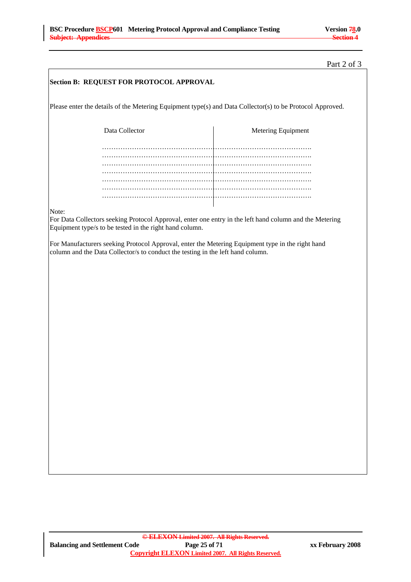#### Part 2 of 3

| Section B: REQUEST FOR PROTOCOL APPROVAL                                                                  |                                                                                                                                                                                                                                                |                                                                                                         |  |  |  |
|-----------------------------------------------------------------------------------------------------------|------------------------------------------------------------------------------------------------------------------------------------------------------------------------------------------------------------------------------------------------|---------------------------------------------------------------------------------------------------------|--|--|--|
| Please enter the details of the Metering Equipment type(s) and Data Collector(s) to be Protocol Approved. |                                                                                                                                                                                                                                                |                                                                                                         |  |  |  |
| Data Collector                                                                                            |                                                                                                                                                                                                                                                | Metering Equipment                                                                                      |  |  |  |
|                                                                                                           |                                                                                                                                                                                                                                                |                                                                                                         |  |  |  |
|                                                                                                           |                                                                                                                                                                                                                                                |                                                                                                         |  |  |  |
|                                                                                                           |                                                                                                                                                                                                                                                |                                                                                                         |  |  |  |
|                                                                                                           |                                                                                                                                                                                                                                                |                                                                                                         |  |  |  |
| Note:                                                                                                     |                                                                                                                                                                                                                                                | For Data Collectors seeking Protocol Approval, enter one entry in the left hand column and the Metering |  |  |  |
|                                                                                                           | Equipment type/s to be tested in the right hand column.<br>For Manufacturers seeking Protocol Approval, enter the Metering Equipment type in the right hand<br>column and the Data Collector/s to conduct the testing in the left hand column. |                                                                                                         |  |  |  |
|                                                                                                           |                                                                                                                                                                                                                                                |                                                                                                         |  |  |  |
|                                                                                                           |                                                                                                                                                                                                                                                |                                                                                                         |  |  |  |
|                                                                                                           |                                                                                                                                                                                                                                                |                                                                                                         |  |  |  |
|                                                                                                           |                                                                                                                                                                                                                                                |                                                                                                         |  |  |  |
|                                                                                                           |                                                                                                                                                                                                                                                |                                                                                                         |  |  |  |
|                                                                                                           |                                                                                                                                                                                                                                                |                                                                                                         |  |  |  |
|                                                                                                           |                                                                                                                                                                                                                                                |                                                                                                         |  |  |  |
|                                                                                                           |                                                                                                                                                                                                                                                |                                                                                                         |  |  |  |
|                                                                                                           |                                                                                                                                                                                                                                                |                                                                                                         |  |  |  |
|                                                                                                           |                                                                                                                                                                                                                                                |                                                                                                         |  |  |  |
|                                                                                                           |                                                                                                                                                                                                                                                |                                                                                                         |  |  |  |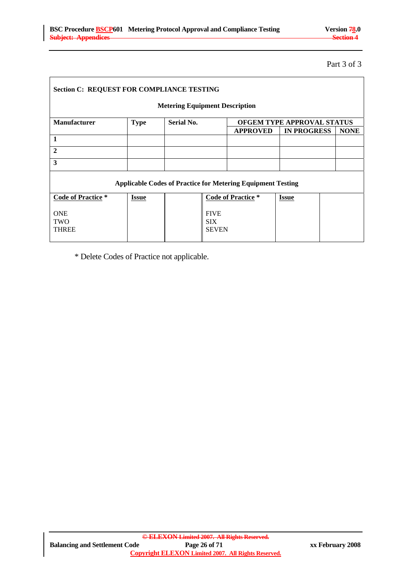Part 3 of 3

| <b>Section C: REQUEST FOR COMPLIANCE TESTING</b> |                                                                    |            |                                           |                           |                                   |  |             |
|--------------------------------------------------|--------------------------------------------------------------------|------------|-------------------------------------------|---------------------------|-----------------------------------|--|-------------|
| <b>Metering Equipment Description</b>            |                                                                    |            |                                           |                           |                                   |  |             |
| <b>Manufacturer</b>                              | <b>Type</b>                                                        | Serial No. |                                           |                           | <b>OFGEM TYPE APPROVAL STATUS</b> |  |             |
|                                                  |                                                                    |            |                                           | <b>APPROVED</b>           | <b>IN PROGRESS</b>                |  | <b>NONE</b> |
| 1                                                |                                                                    |            |                                           |                           |                                   |  |             |
| $\overline{2}$                                   |                                                                    |            |                                           |                           |                                   |  |             |
| 3                                                |                                                                    |            |                                           |                           |                                   |  |             |
|                                                  | <b>Applicable Codes of Practice for Metering Equipment Testing</b> |            |                                           |                           |                                   |  |             |
| <b>Code of Practice</b> *                        | <b>Issue</b>                                                       |            |                                           | <b>Code of Practice</b> * | <b>Issue</b>                      |  |             |
| <b>ONE</b><br><b>TWO</b><br><b>THREE</b>         |                                                                    |            | <b>FIVE</b><br><b>SIX</b><br><b>SEVEN</b> |                           |                                   |  |             |

\* Delete Codes of Practice not applicable.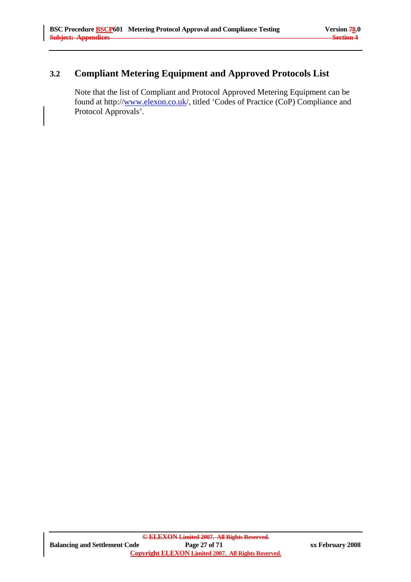# **3.2 Compliant Metering Equipment and Approved Protocols List**

Note that the list of Compliant and Protocol Approved Metering Equipment can be found at http://www.elexon.co.uk/, titled 'Codes of Practice (CoP) Compliance and Protocol Approvals'.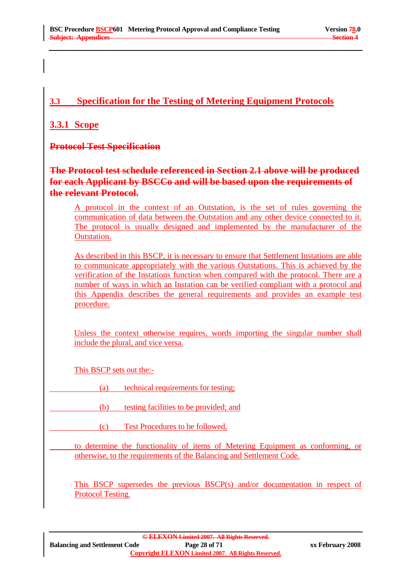# **3.3 Specification for the Testing of Metering Equipment Protocols**

# **3.3.1 Scope**

**Protocol Test Specification** 

**The Protocol test schedule referenced in Section 2.1 above will be produced for each Applicant by BSCCo and will be based upon the requirements of the relevant Protocol.**

 A protocol in the context of an Outstation, is the set of rules governing the communication of data between the Outstation and any other device connected to it. The protocol is usually designed and implemented by the manufacturer of the Outstation.

 As described in this BSCP, it is necessary to ensure that Settlement Instations are able to communicate appropriately with the various Outstations. This is achieved by the verification of the Instations function when compared with the protocol. There are a number of ways in which an Instation can be verified compliant with a protocol and this Appendix describes the general requirements and provides an example test procedure.

Unless the context otherwise requires, words importing the singular number shall include the plural, and vice versa.

This BSCP sets out the:-

(a) technical requirements for testing;

(b) testing facilities to be provided; and

(c) Test Procedures to be followed,

 to determine the functionality of items of Metering Equipment as conforming, or otherwise, to the requirements of the Balancing and Settlement Code.

This BSCP supersedes the previous BSCP(s) and/or documentation in respect of Protocol Testing.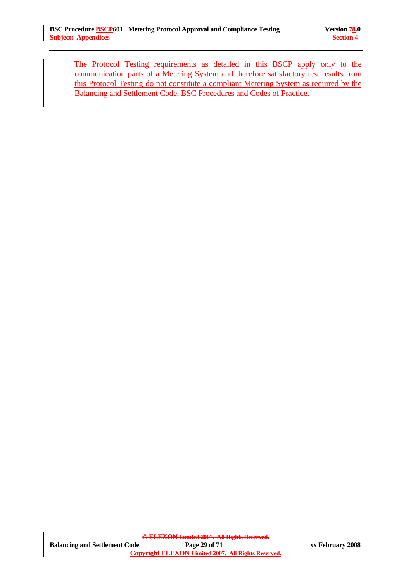The Protocol Testing requirements as detailed in this BSCP apply only to the communication parts of a Metering System and therefore satisfactory test results from this Protocol Testing do not constitute a compliant Metering System as required by the Balancing and Settlement Code, BSC Procedures and Codes of Practice.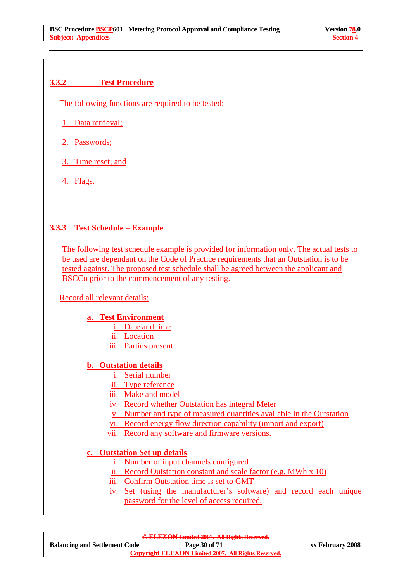# **3.3.2 Test Procedure**

The following functions are required to be tested:

1. Data retrieval;

- 2. Passwords;
- 3. Time reset; and
- 4. Flags.

# **3.3.3 Test Schedule – Example**

 The following test schedule example is provided for information only. The actual tests to be used are dependant on the Code of Practice requirements that an Outstation is to be tested against. The proposed test schedule shall be agreed between the applicant and BSCCo prior to the commencement of any testing.

# Record all relevant details:

# **a. Test Environment**

- i. Date and time
- ii. Location
- iii. Parties present

# **b. Outstation details**

- i. Serial number
- ii. Type reference
- iii. Make and model
- iv. Record whether Outstation has integral Meter
- v. Number and type of measured quantities available in the Outstation
- vi. Record energy flow direction capability (import and export)
- vii. Record any software and firmware versions.

# **c. Outstation Set up details**

- i. Number of input channels configured
- ii. Record Outstation constant and scale factor (e.g. MWh x 10)
- iii. Confirm Outstation time is set to GMT
- iv. Set (using the manufacturer's software) and record each unique password for the level of access required.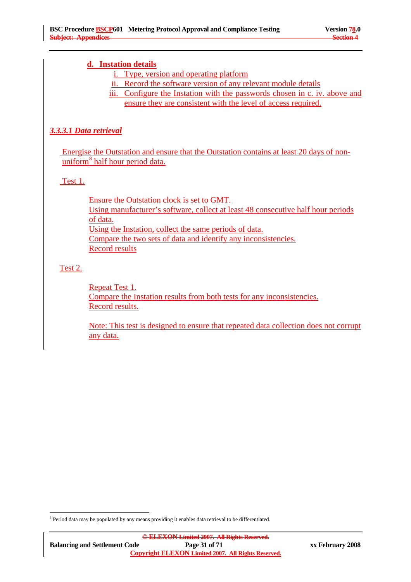### **d. Instation details**

- i. Type, version and operating platform
- ii. Record the software version of any relevant module details
- iii. Configure the Instation with the passwords chosen in c. iv. above and ensure they are consistent with the level of access required.

# *3.3.3.1 Data retrieval*

 Energise the Outstation and ensure that the Outstation contains at least 20 days of nonuniform<sup>8</sup> half hour period data.

# Test 1.

Ensure the Outstation clock is set to GMT. Using manufacturer's software, collect at least 48 consecutive half hour periods of data. Using the Instation, collect the same periods of data. Compare the two sets of data and identify any inconsistencies. Record results

# Test 2.

 $\overline{a}$ 

Repeat Test 1. Compare the Instation results from both tests for any inconsistencies. Record results.

Note: This test is designed to ensure that repeated data collection does not corrupt any data.

<sup>&</sup>lt;sup>8</sup> Period data may be populated by any means providing it enables data retrieval to be differentiated.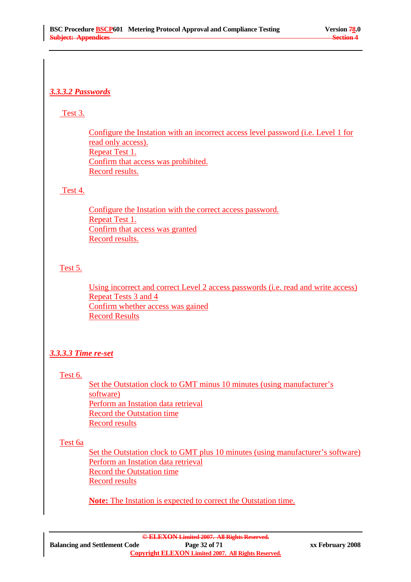# *3.3.3.2 Passwords*

## Test 3.

Configure the Instation with an incorrect access level password (i.e. Level 1 for read only access). Repeat Test 1. Confirm that access was prohibited. Record results.

### Test 4.

Configure the Instation with the correct access password. Repeat Test 1. Confirm that access was granted Record results.

# Test 5.

Using incorrect and correct Level 2 access passwords (i.e. read and write access) Repeat Tests 3 and 4 Confirm whether access was gained Record Results

# *3.3.3.3 Time re-set*

# Test 6.

Set the Outstation clock to GMT minus 10 minutes (using manufacturer's software) Perform an Instation data retrieval Record the Outstation time Record results

# Test 6a

Set the Outstation clock to GMT plus 10 minutes (using manufacturer's software) Perform an Instation data retrieval Record the Outstation time Record results

**Note:** The Instation is expected to correct the Outstation time.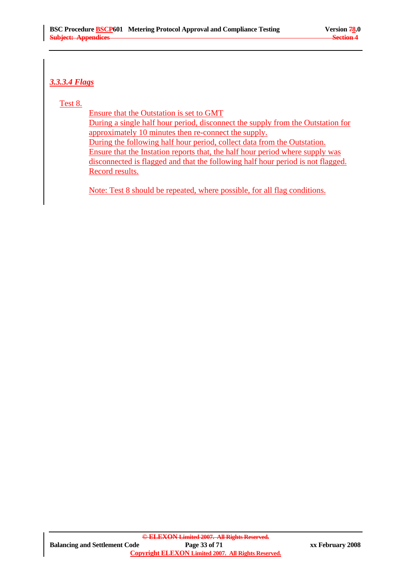# *3.3.3.4 Flags*

#### Test 8.

Ensure that the Outstation is set to GMT During a single half hour period, disconnect the supply from the Outstation for approximately 10 minutes then re-connect the supply. During the following half hour period, collect data from the Outstation. Ensure that the Instation reports that, the half hour period where supply was disconnected is flagged and that the following half hour period is not flagged. Record results.

Note: Test 8 should be repeated, where possible, for all flag conditions.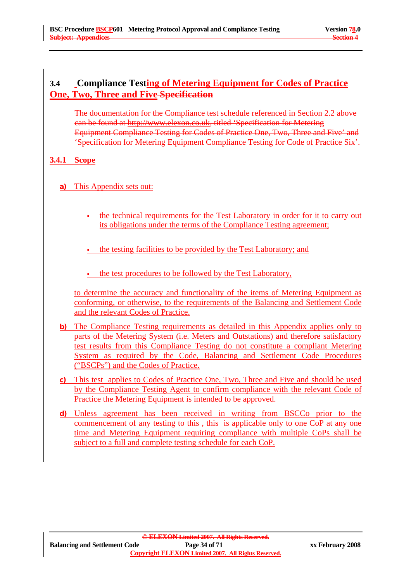# **3.4 Compliance Testing of Metering Equipment for Codes of Practice One, Two, Three and Five Specification**

The documentation for the Compliance test schedule referenced in Section 2.2 above can be found at http://www.elexon.co.uk, titled 'Specification for Metering Equipment Compliance Testing for Codes of Practice One, Two, Three and Five' and 'Specification for Metering Equipment Compliance Testing for Code of Practice Six'.

### **3.4.1 Scope**

- **a)** This Appendix sets out:
	- the technical requirements for the Test Laboratory in order for it to carry out its obligations under the terms of the Compliance Testing agreement;
	- the testing facilities to be provided by the Test Laboratory; and
	- the test procedures to be followed by the Test Laboratory,

to determine the accuracy and functionality of the items of Metering Equipment as conforming, or otherwise, to the requirements of the Balancing and Settlement Code and the relevant Codes of Practice.

- **b)** The Compliance Testing requirements as detailed in this Appendix applies only to parts of the Metering System (i.e. Meters and Outstations) and therefore satisfactory test results from this Compliance Testing do not constitute a compliant Metering System as required by the Code, Balancing and Settlement Code Procedures ("BSCPs") and the Codes of Practice.
- **c)** This test applies to Codes of Practice One, Two, Three and Five and should be used by the Compliance Testing Agent to confirm compliance with the relevant Code of Practice the Metering Equipment is intended to be approved.
- **d)** Unless agreement has been received in writing from BSCCo prior to the commencement of any testing to this , this is applicable only to one CoP at any one time and Metering Equipment requiring compliance with multiple CoPs shall be subject to a full and complete testing schedule for each CoP.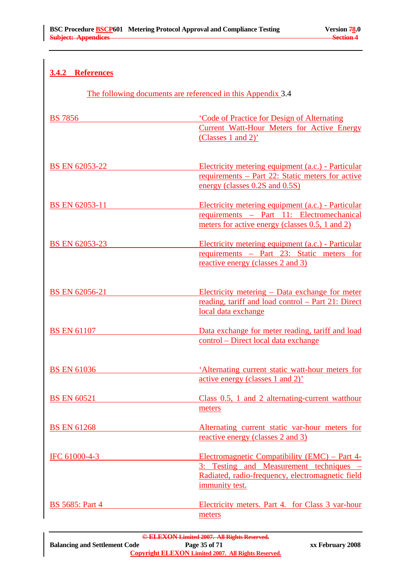# **3.4.2 References**

The following documents are referenced in this Appendix 3.4

| <b>BS 7856</b>         | 'Code of Practice for Design of Alternating<br><b>Current Watt-Hour Meters for Active Energy</b><br>(Classes 1 and 2)'                                         |
|------------------------|----------------------------------------------------------------------------------------------------------------------------------------------------------------|
| <b>BS EN 62053-22</b>  | Electricity metering equipment (a.c.) - Particular<br><u>requirements – Part 22: Static meters for active</u><br>energy (classes 0.2S and 0.5S)                |
| BS EN 62053-11         | Electricity metering equipment (a.c.) - Particular<br>requirements - Part 11: Electromechanical<br>meters for active energy (classes 0.5, 1 and 2)             |
| BS EN 62053-23         | Electricity metering equipment (a.c.) - Particular<br>requirements - Part 23: Static meters for<br>reactive energy (classes 2 and 3)                           |
| <b>BS EN 62056-21</b>  | Electricity metering – Data exchange for meter<br>reading, tariff and load control - Part 21: Direct<br>local data exchange                                    |
| <b>BS EN 61107</b>     | Data exchange for meter reading, tariff and load<br>control - Direct local data exchange                                                                       |
| <b>BS EN 61036</b>     | 'Alternating current static watt-hour meters for<br>active energy (classes 1 and 2)'                                                                           |
| <b>BS EN 60521</b>     | Class 0.5, 1 and 2 alternating-current watthour<br>meters                                                                                                      |
| <b>BS EN 61268</b>     | Alternating current static var-hour meters for<br>reactive energy (classes 2 and 3)                                                                            |
| IFC 61000-4-3          | Electromagnetic Compatibility (EMC) – Part 4-<br>3: Testing and Measurement techniques –<br>Radiated, radio-frequency, electromagnetic field<br>immunity test. |
| <b>BS</b> 5685: Part 4 | Electricity meters. Part 4. for Class 3 var-hour<br>meters                                                                                                     |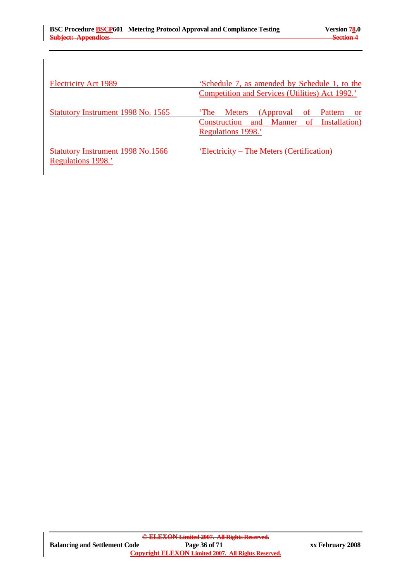| <b>Electricity Act 1989</b>                                    | 'Schedule 7, as amended by Schedule 1, to the<br>Competition and Services (Utilities) Act 1992.'                   |
|----------------------------------------------------------------|--------------------------------------------------------------------------------------------------------------------|
| Statutory Instrument 1998 No. 1565                             | 'The<br>Meters (Approval of Pattern<br><b>or</b><br>Construction and Manner of Installation)<br>Regulations 1998.' |
| <b>Statutory Instrument 1998 No.1566</b><br>Regulations 1998.' | 'Electricity – The Meters (Certification)                                                                          |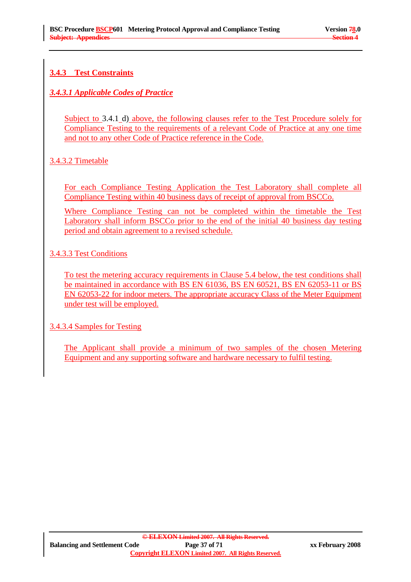# **3.4.3 Test Constraints**

# *3.4.3.1 Applicable Codes of Practice*

Subject to 3.4.1 d) above, the following clauses refer to the Test Procedure solely for Compliance Testing to the requirements of a relevant Code of Practice at any one time and not to any other Code of Practice reference in the Code.

# 3.4.3.2 Timetable

For each Compliance Testing Application the Test Laboratory shall complete all Compliance Testing within 40 business days of receipt of approval from BSCCo.

Where Compliance Testing can not be completed within the timetable the Test Laboratory shall inform BSCCo prior to the end of the initial 40 business day testing period and obtain agreement to a revised schedule.

# 3.4.3.3 Test Conditions

To test the metering accuracy requirements in Clause 5.4 below, the test conditions shall be maintained in accordance with BS EN 61036, BS EN 60521, BS EN 62053-11 or BS EN 62053-22 for indoor meters. The appropriate accuracy Class of the Meter Equipment under test will be employed.

# 3.4.3.4 Samples for Testing

The Applicant shall provide a minimum of two samples of the chosen Metering Equipment and any supporting software and hardware necessary to fulfil testing.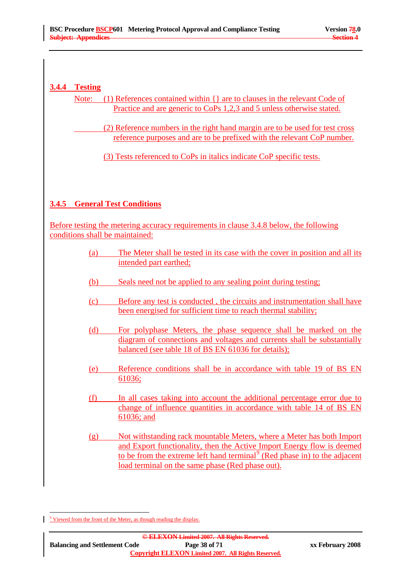#### **3.4.4 Testing**

Note: (1) References contained within {} are to clauses in the relevant Code of Practice and are generic to CoPs 1,2,3 and 5 unless otherwise stated.

> (2) Reference numbers in the right hand margin are to be used for test cross reference purposes and are to be prefixed with the relevant CoP number.

(3) Tests referenced to CoPs in italics indicate CoP specific tests.

# **3.4.5 General Test Conditions**

Before testing the metering accuracy requirements in clause 3.4.8 below, the following conditions shall be maintained:

- (a) The Meter shall be tested in its case with the cover in position and all its intended part earthed;
- (b) Seals need not be applied to any sealing point during testing;
- (c) Before any test is conducted , the circuits and instrumentation shall have been energised for sufficient time to reach thermal stability;
- (d) For polyphase Meters, the phase sequence shall be marked on the diagram of connections and voltages and currents shall be substantially balanced (see table 18 of BS EN 61036 for details);
- (e) Reference conditions shall be in accordance with table 19 of BS EN 61036;
- (f) In all cases taking into account the additional percentage error due to change of influence quantities in accordance with table 14 of BS EN 61036; and
- (g) Not withstanding rack mountable Meters, where a Meter has both Import and Export functionality, then the Active Import Energy flow is deemed to be from the extreme left hand terminal<sup>9</sup> (Red phase in) to the adjacent load terminal on the same phase (Red phase out).

 $\overline{a}$ <sup>9</sup> Viewed from the front of the Meter, as though reading the display.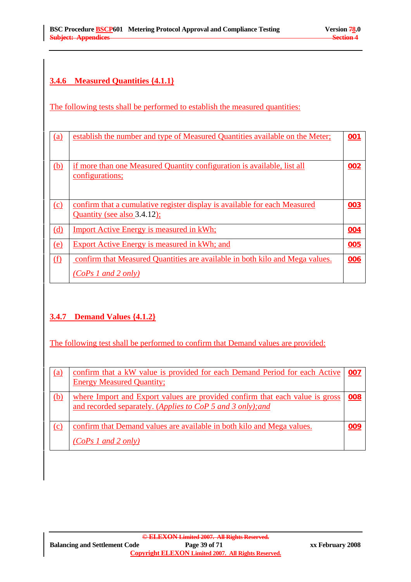# **3.4.6 Measured Quantities {4.1.1}**

The following tests shall be performed to establish the measured quantities:

| (a)        | establish the number and type of Measured Quantities available on the Meter;                             | 001 |
|------------|----------------------------------------------------------------------------------------------------------|-----|
| <u>(b)</u> | if more than one Measured Quantity configuration is available, list all<br><u>configurations;</u>        | 002 |
| (c)        | confirm that a cumulative register display is available for each Measured<br>Quantity (see also 3.4.12); | 003 |
| (d)        | <b>Import Active Energy is measured in kWh;</b>                                                          | 004 |
| <u>(e)</u> | <b>Export Active Energy is measured in kWh; and</b>                                                      | 005 |
| f(x)       | confirm that Measured Quantities are available in both kilo and Mega values.<br>$(CoPs1$ and 2 only)     | 006 |

# **3.4.7 Demand Values {4.1.2}**

The following test shall be performed to confirm that Demand values are provided:

| <u>(a)</u> | confirm that a kW value is provided for each Demand Period for each Active<br><b>Energy Measured Quantity;</b>                              | 007 |
|------------|---------------------------------------------------------------------------------------------------------------------------------------------|-----|
| (b)        | where Import and Export values are provided confirm that each value is gross<br>and recorded separately. (Applies to CoP 5 and 3 only); and | 008 |
| (c)        | confirm that Demand values are available in both kilo and Mega values.<br>$(CoPs1$ and 2 only)                                              | 009 |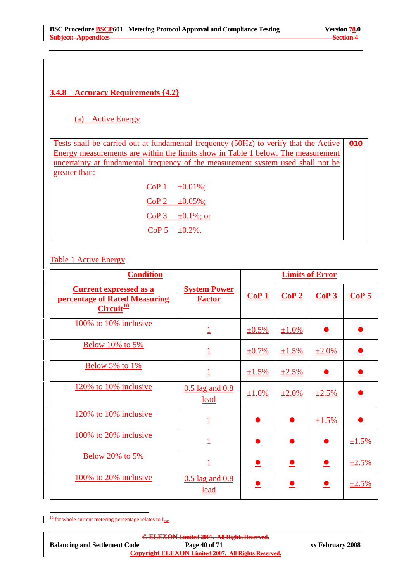# **3.4.8 Accuracy Requirements {4.2}**

## (a) Active Energy

Tests shall be carried out at fundamental frequency (50Hz) to verify that the Active Energy measurements are within the limits show in Table 1 below. The measurement uncertainty at fundamental frequency of the measurement system used shall not be greater than: **010**

| CoP <sub>1</sub> | $\pm 0.01\%$ ;  |
|------------------|-----------------|
| CoP <sub>2</sub> | $\pm 0.05\%$ ;  |
| CoP <sub>3</sub> | $\pm0.1\%$ ; or |
| CoP <sub>5</sub> | $\pm 0.2\%$ .   |

#### Table 1 Active Energy

| <b>Condition</b>                                                                                    |                                      |          | <b>Limits of Error</b> |             |                  |  |
|-----------------------------------------------------------------------------------------------------|--------------------------------------|----------|------------------------|-------------|------------------|--|
| <u>Current expressed as a</u><br><b>percentage of Rated Measuring</b><br>$Circuit^{\underline{10}}$ | <b>System Power</b><br><b>Factor</b> | CoP1     | CoP2                   | CoP3        | CoP <sub>5</sub> |  |
| 100% to 10% inclusive                                                                               | $\overline{1}$                       | $±0.5\%$ | $±1.0\%$               |             |                  |  |
| <b>Below 10% to 5%</b>                                                                              | $\overline{1}$                       | $±0.7\%$ | $±1.5\%$               | $±2.0\%$    |                  |  |
| <b>Below 5% to 1%</b>                                                                               | $\overline{1}$                       | ±1.5%    | $\pm 2.5\%$            |             | $\bullet$        |  |
| 120% to 10% inclusive                                                                               | $0.5$ lag and $0.8$<br><u>lead</u>   | ±1.0%    | ±2.0%                  | $\pm 2.5\%$ |                  |  |
| 120% to 10% inclusive                                                                               | $\overline{1}$                       |          | $\bullet$              | ±1.5%       | $\bullet$        |  |
| 100% to 20% inclusive                                                                               | $\overline{1}$                       |          |                        | $\bullet$   | ±1.5%            |  |
| Below 20% to 5%                                                                                     | $\overline{1}$                       |          |                        | $\bullet$   | $\pm 2.5\%$      |  |
| 100% to 20% inclusive                                                                               | $0.5$ lag and $0.8$<br><u>lead</u>   |          |                        |             | ±2.5%            |  |

<sup>10</sup> for whole current metering percentage relates to  $I_{max}$ 

 $\overline{a}$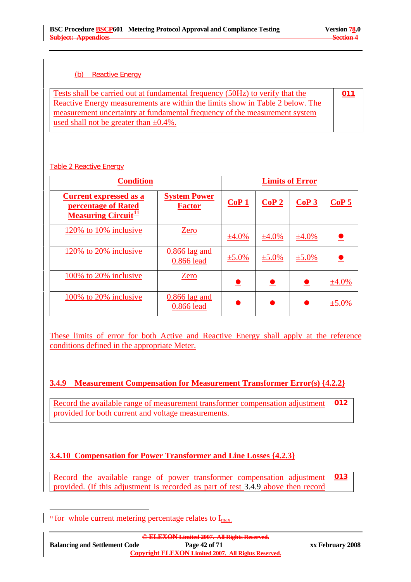### (b) Reactive Energy

| Tests shall be carried out at fundamental frequency (50Hz) to verify that the | <u>011</u> |
|-------------------------------------------------------------------------------|------------|
| Reactive Energy measurements are within the limits show in Table 2 below. The |            |
| measurement uncertainty at fundamental frequency of the measurement system    |            |
| used shall not be greater than $\pm 0.4\%$ .                                  |            |

#### Table 2 Reactive Energy

| <b>Condition</b>                                                                                     |                                      | <b>Limits of Error</b> |          |          |                  |
|------------------------------------------------------------------------------------------------------|--------------------------------------|------------------------|----------|----------|------------------|
| <b>Current expressed as a</b><br><b>percentage of Rated</b><br><b>Measuring Circuit<sup>11</sup></b> | <b>System Power</b><br><b>Factor</b> | CoP1                   | CoP2     | CoP3     | CoP <sub>5</sub> |
| 120% to 10% inclusive                                                                                | Zero                                 | ±4.0%                  | ±4.0%    | ±4.0%    |                  |
| 120% to 20% inclusive                                                                                | $0.866$ lag and<br>0.866 lead        | ±5.0%                  | $±5.0\%$ | $±5.0\%$ |                  |
| 100% to 20% inclusive                                                                                | Zero                                 |                        |          |          | ±4.0%            |
| 100% to 20% inclusive                                                                                | $0.866$ lag and<br>0.866 lead        |                        |          |          | $\pm 5.0\%$      |

These limits of error for both Active and Reactive Energy shall apply at the reference conditions defined in the appropriate Meter.

# **3.4.9 Measurement Compensation for Measurement Transformer Error(s) {4.2.2}**

Record the available range of measurement transformer compensation adjustment provided for both current and voltage measurements. **012**

# **3.4.10 Compensation for Power Transformer and Line Losses {4.2.3}**

Record the available range of power transformer compensation adjustment provided. (If this adjustment is recorded as part of test 3.4.9 above then record **013**

 $\overline{a}$ 

<sup>&</sup>lt;sup>11</sup> for whole current metering percentage relates to  $I_{max}$ .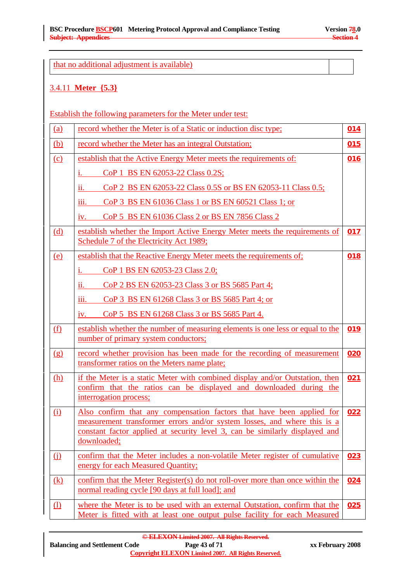that no additional adjustment is available)

#### 3.4.11 **Meter {5.3}**

Establish the following parameters for the Meter under test:

| (a)        | record whether the Meter is of a Static or induction disc type;                                                                                                                                                                                 | 014 |
|------------|-------------------------------------------------------------------------------------------------------------------------------------------------------------------------------------------------------------------------------------------------|-----|
| <u>(b)</u> | record whether the Meter has an integral Outstation;                                                                                                                                                                                            | 015 |
| (c)        | establish that the Active Energy Meter meets the requirements of:                                                                                                                                                                               | 016 |
|            | CoP 1 BS EN 62053-22 Class 0.2S;                                                                                                                                                                                                                |     |
|            | CoP 2 BS EN 62053-22 Class 0.5S or BS EN 62053-11 Class 0.5;<br>11.                                                                                                                                                                             |     |
|            | CoP 3 BS EN 61036 Class 1 or BS EN 60521 Class 1; or<br>111.                                                                                                                                                                                    |     |
|            | CoP 5 BS EN 61036 Class 2 or BS EN 7856 Class 2<br>IV.                                                                                                                                                                                          |     |
| (d)        | establish whether the Import Active Energy Meter meets the requirements of<br>Schedule 7 of the Electricity Act 1989;                                                                                                                           | 017 |
| (e)        | establish that the Reactive Energy Meter meets the requirements of:                                                                                                                                                                             | 018 |
|            | CoP 1 BS EN 62053-23 Class 2.0;                                                                                                                                                                                                                 |     |
|            | CoP 2 BS EN 62053-23 Class 3 or BS 5685 Part 4;<br>11.                                                                                                                                                                                          |     |
|            | CoP 3 BS EN 61268 Class 3 or BS 5685 Part 4; or<br>111.                                                                                                                                                                                         |     |
|            | CoP 5 BS EN 61268 Class 3 or BS 5685 Part 4.<br>iv.                                                                                                                                                                                             |     |
| (f)        | establish whether the number of measuring elements is one less or equal to the<br>number of primary system conductors;                                                                                                                          | 019 |
| (g)        | record whether provision has been made for the recording of measurement<br>transformer ratios on the Meters name plate;                                                                                                                         | 020 |
| (h)        | if the Meter is a static Meter with combined display and/or Outstation, then<br>confirm that the ratios can be displayed and downloaded during the<br>interrogation process;                                                                    | 021 |
| (i)        | Also confirm that any compensation factors that have been applied for<br>measurement transformer errors and/or system losses, and where this is a<br>constant factor applied at security level 3, can be similarly displayed and<br>downloaded; | 022 |
| $\Omega$   | confirm that the Meter includes a non-volatile Meter register of cumulative<br>energy for each Measured Quantity;                                                                                                                               | 023 |
| (k)        | confirm that the Meter Register(s) do not roll-over more than once within the<br>normal reading cycle [90 days at full load]; and                                                                                                               | 024 |
| $\Omega$   | where the Meter is to be used with an external Outstation, confirm that the<br>Meter is fitted with at least one output pulse facility for each Measured                                                                                        | 025 |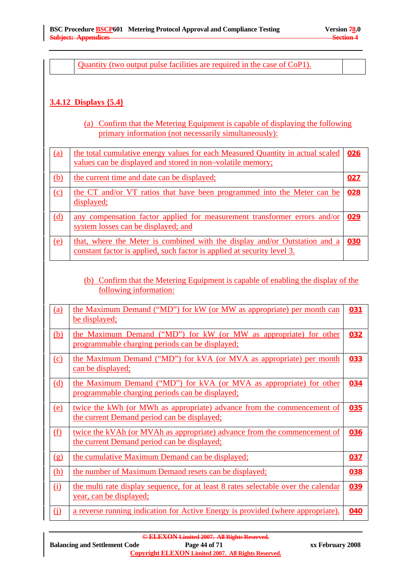Quantity (two output pulse facilities are required in the case of CoP1).

# **3.4.12 Displays {5.4}**

(a) Confirm that the Metering Equipment is capable of displaying the following primary information (not necessarily simultaneously):

| (a)        | the total cumulative energy values for each Measured Quantity in actual scaled<br>values can be displayed and stored in non-volatile memory;          | 026        |
|------------|-------------------------------------------------------------------------------------------------------------------------------------------------------|------------|
| <u>(b)</u> | the current time and date can be displayed;                                                                                                           | <u>027</u> |
| (c)        | the CT and/or VT ratios that have been programmed into the Meter can be<br>displayed;                                                                 | 028        |
| (d)        | any compensation factor applied for measurement transformer errors and/or<br>system losses can be displayed; and                                      | 029        |
| (e)        | that, where the Meter is combined with the display and/or Outstation and a<br>constant factor is applied, such factor is applied at security level 3. | 030        |

(b) Confirm that the Metering Equipment is capable of enabling the display of the following information:

| <u>(a)</u>                     | the Maximum Demand ("MD") for kW (or MW as appropriate) per month can<br>be displayed;                                  | 031 |
|--------------------------------|-------------------------------------------------------------------------------------------------------------------------|-----|
| <u>(b)</u>                     | the Maximum Demand ("MD") for kW (or MW as appropriate) for other<br>programmable charging periods can be displayed;    | 032 |
| (c)                            | the Maximum Demand ("MD") for kVA (or MVA as appropriate) per month<br><u>can be displayed;</u>                         | 033 |
| <u>(d)</u>                     | the Maximum Demand ("MD") for kVA (or MVA as appropriate) for other<br>programmable charging periods can be displayed;  | 034 |
| (e)                            | twice the kWh (or MWh as appropriate) advance from the commencement of<br>the current Demand period can be displayed;   | 035 |
| (f)                            | twice the kVAh (or MVAh as appropriate) advance from the commencement of<br>the current Demand period can be displayed; | 036 |
| $\left( \underline{g} \right)$ | the cumulative Maximum Demand can be displayed;                                                                         | 037 |
| <u>(h)</u>                     | the number of Maximum Demand resets can be displayed;                                                                   | 038 |
| (i)                            | the multi rate display sequence, for at least 8 rates selectable over the calendar<br><u>year, can be displayed;</u>    | 039 |
| $\Omega$                       | <u>a reverse running indication for Active Energy is provided (where appropriate).</u>                                  | 040 |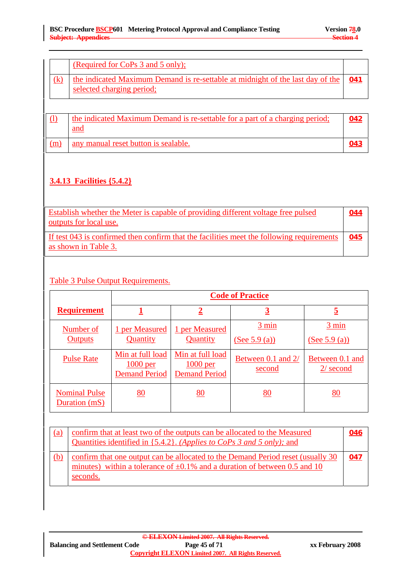|     | (Required for CoPs 3 and 5 only);                                                                                       |  |
|-----|-------------------------------------------------------------------------------------------------------------------------|--|
| (k) | the indicated Maximum Demand is re-settable at midnight of the last day of the $\vert$ 041<br>selected charging period; |  |

|     | the indicated Maximum Demand is re-settable for a part of a charging period;<br>and | 042 |
|-----|-------------------------------------------------------------------------------------|-----|
| (m) | any manual reset button is sealable.                                                | 043 |

# **3.4.13 Facilities {5.4.2}**

| Establish whether the Meter is capable of providing different voltage free pulsed<br>outputs for local use.       | 044 |
|-------------------------------------------------------------------------------------------------------------------|-----|
| If test 043 is confirmed then confirm that the facilities meet the following requirements<br>as shown in Table 3. | 045 |

# Table 3 Pulse Output Requirements.

|                                       | <b>Code of Practice</b>                                |                                                        |                                  |                                            |
|---------------------------------------|--------------------------------------------------------|--------------------------------------------------------|----------------------------------|--------------------------------------------|
| <b>Requirement</b>                    |                                                        | $\overline{2}$                                         | <u>3</u>                         | <u>5</u>                                   |
| Number of<br><b>Outputs</b>           | 1 per Measured<br>Quantity                             | 1 per Measured<br>Quantity                             | $3 \text{ min}$<br>(See 5.9 (a)) | $\frac{3 \text{ min}}{2}$<br>(See 5.9 (a)) |
| <b>Pulse Rate</b>                     | Min at full load<br>$1000$ per<br><b>Demand Period</b> | Min at full load<br>$1000$ per<br><b>Demand Period</b> | Between 0.1 and 2/<br>second     | Between 0.1 and<br>$2/$ second             |
| <b>Nominal Pulse</b><br>Duration (mS) | 80                                                     | <u>80</u>                                              | <u>80</u>                        | <u>80</u>                                  |

| <u>(a)</u> | confirm that at least two of the outputs can be allocated to the Measured<br>Quantities identified in {5.4.2}. (Applies to CoPs 3 and 5 only); and                             | 046 |
|------------|--------------------------------------------------------------------------------------------------------------------------------------------------------------------------------|-----|
| (b)        | confirm that one output can be allocated to the Demand Period reset (usually 30<br>minutes) within a tolerance of $\pm 0.1\%$ and a duration of between 0.5 and 10<br>seconds. | 047 |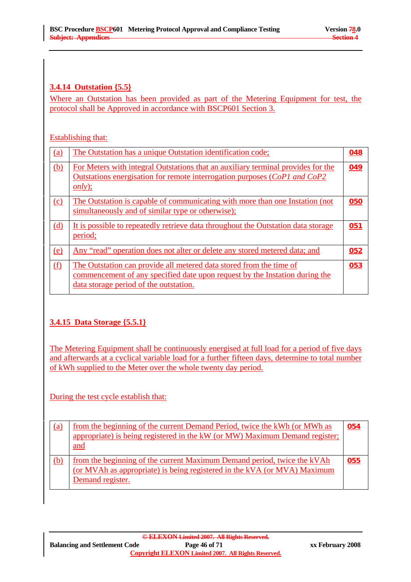# **3.4.14 Outstation {5.5}**

Where an Outstation has been provided as part of the Metering Equipment for test, the protocol shall be Approved in accordance with BSCP601 Section 3.

#### Establishing that:

| (a)        | The Outstation has a unique Outstation identification code;                                                                                                                                  | 048 |
|------------|----------------------------------------------------------------------------------------------------------------------------------------------------------------------------------------------|-----|
| (b)        | For Meters with integral Outstations that an auxiliary terminal provides for the<br><u>Outstations energisation for remote interrogation purposes (CoP1 and CoP2</u><br>$\frac{only}{.}$     | 049 |
| (c)        | The Outstation is capable of communicating with more than one Instation (not<br>simultaneously and of similar type or otherwise);                                                            | 050 |
| (d)        | It is possible to repeatedly retrieve data throughout the Outstation data storage<br>period;                                                                                                 | 051 |
| <u>(e)</u> | Any "read" operation does not alter or delete any stored metered data; and                                                                                                                   | 052 |
| (f)        | The Outstation can provide all metered data stored from the time of<br>commencement of any specified date upon request by the Instation during the<br>data storage period of the outstation. | 053 |

# **3.4.15 Data Storage {5.5.1}**

The Metering Equipment shall be continuously energised at full load for a period of five days and afterwards at a cyclical variable load for a further fifteen days, determine to total number of kWh supplied to the Meter over the whole twenty day period.

During the test cycle establish that:

| <u>(a)</u> | from the beginning of the current Demand Period, twice the kWh (or MWh as<br>appropriate) is being registered in the kW (or MW) Maximum Demand register;<br>and         | 054 |
|------------|-------------------------------------------------------------------------------------------------------------------------------------------------------------------------|-----|
| (b)        | from the beginning of the current Maximum Demand period, twice the kVAh<br>(or MVAh as appropriate) is being registered in the kVA (or MVA) Maximum<br>Demand register. | 055 |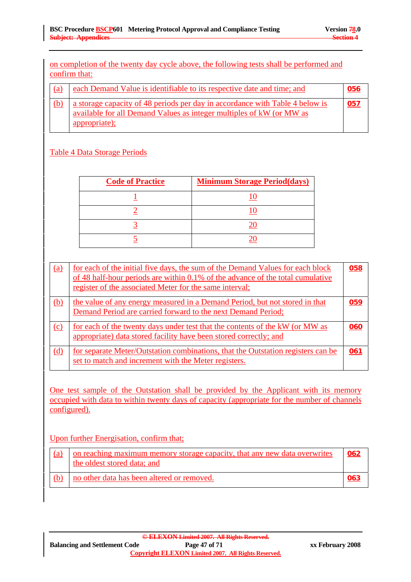on completion of the twenty day cycle above, the following tests shall be performed and confirm that:

| (a) | each Demand Value is identifiable to its respective date and time; and                                                                                                | 056 |
|-----|-----------------------------------------------------------------------------------------------------------------------------------------------------------------------|-----|
|     | a storage capacity of 48 periods per day in accordance with Table 4 below is<br>available for all Demand Values as integer multiples of kW (or MW as<br>appropriate); | 057 |

### Table 4 Data Storage Periods

| <b>Code of Practice</b> | <b>Minimum Storage Period (days)</b> |
|-------------------------|--------------------------------------|
|                         |                                      |
|                         |                                      |
|                         |                                      |
|                         |                                      |

| (a) | for each of the initial five days, the sum of the Demand Values for each block<br>of 48 half-hour periods are within 0.1% of the advance of the total cumulative<br>register of the associated Meter for the same interval; | 058 |
|-----|-----------------------------------------------------------------------------------------------------------------------------------------------------------------------------------------------------------------------------|-----|
| (b) | the value of any energy measured in a Demand Period, but not stored in that<br>Demand Period are carried forward to the next Demand Period;                                                                                 | 059 |
| (c) | for each of the twenty days under test that the contents of the kW (or MW as<br>appropriate) data stored facility have been stored correctly; and                                                                           | 060 |
| (d) | for separate Meter/Qutstation combinations, that the Outstation registers can be<br>set to match and increment with the Meter registers.                                                                                    | 061 |

One test sample of the Outstation shall be provided by the Applicant with its memory occupied with data to within twenty days of capacity (appropriate for the number of channels configured).

#### Upon further Energisation, confirm that;

| (a) | on reaching maximum memory storage capacity, that any new data overwrites<br>the oldest stored data; and | 062        |
|-----|----------------------------------------------------------------------------------------------------------|------------|
|     | no other data has been altered or removed.                                                               | <u>063</u> |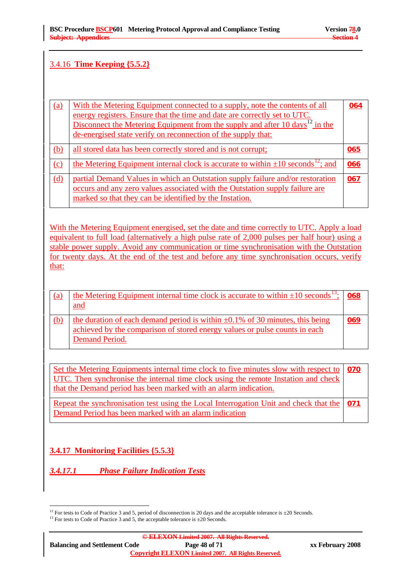### 3.4.16 **Time Keeping {5.5.2}**

| (a) | With the Metering Equipment connected to a supply, note the contents of all<br>energy registers. Ensure that the time and date are correctly set to UTC.<br>Disconnect the Metering Equipment from the supply and after 10 days <sup>12</sup> in the<br>de-energised state verify on reconnection of the supply that: | 064 |
|-----|-----------------------------------------------------------------------------------------------------------------------------------------------------------------------------------------------------------------------------------------------------------------------------------------------------------------------|-----|
| (b) | all stored data has been correctly stored and is not corrupt;                                                                                                                                                                                                                                                         | 065 |
| (c) | the Metering Equipment internal clock is accurate to within $\pm 10$ seconds <sup>12</sup> ; and                                                                                                                                                                                                                      | 066 |
| (d) | partial Demand Values in which an Outstation supply failure and/or restoration<br>occurs and any zero values associated with the Outstation supply failure are<br>marked so that they can be identified by the Instation.                                                                                             | 067 |

With the Metering Equipment energised, set the date and time correctly to UTC. Apply a load equivalent to full load (alternatively a high pulse rate of 2,000 pulses per half hour) using a stable power supply. Avoid any communication or time synchronisation with the Outstation for twenty days. At the end of the test and before any time synchronisation occurs, verify that:

| <u>(a)</u> | the Metering Equipment internal time clock is accurate to within $\pm 10$ seconds <sup>13</sup> ;<br>and                                                                           | 068 |
|------------|------------------------------------------------------------------------------------------------------------------------------------------------------------------------------------|-----|
| (b)        | the duration of each demand period is within $\pm 0.1\%$ of 30 minutes, this being<br>achieved by the comparison of stored energy values or pulse counts in each<br>Demand Period. | 069 |

Set the Metering Equipments internal time clock to five minutes slow with respect to UTC. Then synchronise the internal time clock using the remote Instation and check that the Demand period has been marked with an alarm indication. **070**

Repeat the synchronisation test using the Local Interrogation Unit and check that the Demand Period has been marked with an alarm indication **071**

# **3.4.17 Monitoring Facilities {5.5.3}**

*3.4.17.1 Phase Failure Indication Tests* 

 $\overline{a}$ <sup>12</sup> For tests to Code of Practice 3 and 5, period of disconnection is 20 days and the acceptable tolerance is  $\pm 20$  Seconds. <sup>13</sup> For tests to Code of Practice 3 and 5, the acceptable tolerance is  $\pm 20$  Seconds.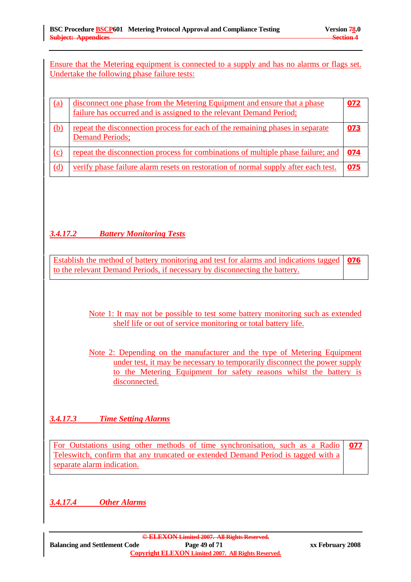Ensure that the Metering equipment is connected to a supply and has no alarms or flags set. Undertake the following phase failure tests:

| (a)        | disconnect one phase from the Metering Equipment and ensure that a phase<br>failure has occurred and is assigned to the relevant Demand Period; | 072 |
|------------|-------------------------------------------------------------------------------------------------------------------------------------------------|-----|
| (b)        | repeat the disconnection process for each of the remaining phases in separate<br><b>Demand Periods;</b>                                         | 073 |
| (c)        | repeat the disconnection process for combinations of multiple phase failure; and                                                                | 074 |
| <u>(d)</u> | verify phase failure alarm resets on restoration of normal supply after each test.                                                              | 075 |

# *3.4.17.2 Battery Monitoring Tests*

Establish the method of battery monitoring and test for alarms and indications tagged to the relevant Demand Periods, if necessary by disconnecting the battery. **076**

> Note 1: It may not be possible to test some battery monitoring such as extended shelf life or out of service monitoring or total battery life.

> Note 2: Depending on the manufacturer and the type of Metering Equipment under test, it may be necessary to temporarily disconnect the power supply to the Metering Equipment for safety reasons whilst the battery is disconnected.

*3.4.17.3 Time Setting Alarms*

For Outstations using other methods of time synchronisation, such as a Radio Teleswitch, confirm that any truncated or extended Demand Period is tagged with a separate alarm indication. **077**

*3.4.17.4 Other Alarms*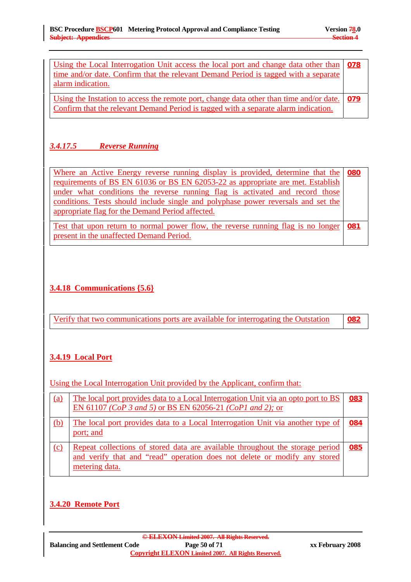| Using the Local Interrogation Unit access the local port and change data other than   078<br>time and/or date. Confirm that the relevant Demand Period is tagged with a separate<br>alarm indication. |  |
|-------------------------------------------------------------------------------------------------------------------------------------------------------------------------------------------------------|--|
| Using the Instation to access the remote port, change data other than time and/or date. 079<br>Confirm that the relevant Demand Period is tagged with a separate alarm indication.                    |  |

# *3.4.17.5 Reverse Running*

Where an Active Energy reverse running display is provided, determine that the requirements of BS EN 61036 or BS EN 62053-22 as appropriate are met. Establish under what conditions the reverse running flag is activated and record those conditions. Tests should include single and polyphase power reversals and set the appropriate flag for the Demand Period affected. **080**

Test that upon return to normal power flow, the reverse running flag is no longer present in the unaffected Demand Period. **081**

# **3.4.18 Communications {5.6}**

| <u>Verify that two communications ports are available for interrogating the Outstation (2008)</u> |
|---------------------------------------------------------------------------------------------------|
|---------------------------------------------------------------------------------------------------|

# **3.4.19 Local Port**

Using the Local Interrogation Unit provided by the Applicant, confirm that:

| (a) | The local port provides data to a Local Interrogation Unit via an opto port to BS<br>EN 61107 (CoP 3 and 5) or BS EN 62056-21 (CoP1 and 2); or                               | 083 |
|-----|------------------------------------------------------------------------------------------------------------------------------------------------------------------------------|-----|
| (b) | The local port provides data to a Local Interrogation Unit via another type of<br>port; and                                                                                  | 084 |
| (c) | Repeat collections of stored data are available throughout the storage period<br>and verify that and "read" operation does not delete or modify any stored<br>metering data. | 085 |

# **3.4.20 Remote Port**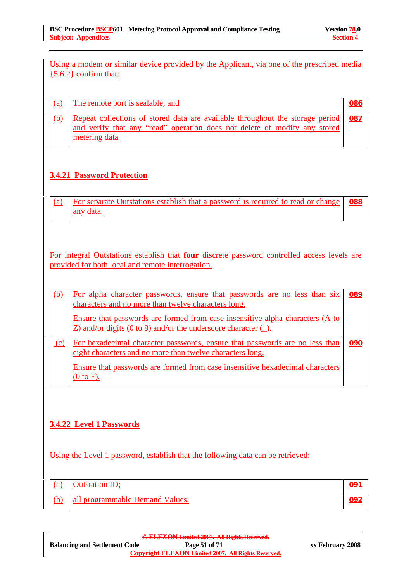Using a modem or similar device provided by the Applicant, via one of the prescribed media  ${5.6.2}$  confirm that:

| (a) | The remote port is sealable; and                                                                                                                                                  | 086 |
|-----|-----------------------------------------------------------------------------------------------------------------------------------------------------------------------------------|-----|
| (b) | Repeat collections of stored data are available throughout the storage period   087<br>and verify that any "read" operation does not delete of modify any stored<br>metering data |     |

# **3.4.21 Password Protection**

| $\vert$ (a) For separate Outstations establish that a password is required to read or change $\vert$ 088 |  |
|----------------------------------------------------------------------------------------------------------|--|
| any data.                                                                                                |  |

For integral Outstations establish that **four** discrete password controlled access levels are provided for both local and remote interrogation.

| (b) | For alpha character passwords, ensure that passwords are no less than six<br>characters and no more than twelve characters long.                          | 089 |
|-----|-----------------------------------------------------------------------------------------------------------------------------------------------------------|-----|
|     | Ensure that passwords are formed from case insensitive alpha characters (A to<br>$Z$ ) and/or digits (0 to 9) and/or the underscore character ( $\Box$ ). |     |
| (c) | For hexadecimal character passwords, ensure that passwords are no less than<br>eight characters and no more than twelve characters long.                  | 090 |
|     | Ensure that passwords are formed from case insensitive hexadecimal characters<br>(0 to F).                                                                |     |

# **3.4.22 Level 1 Passwords**

Using the Level 1 password, establish that the following data can be retrieved:

| (a) | <b>Outstation ID;</b>           |  |
|-----|---------------------------------|--|
| (b) | all programmable Demand Values; |  |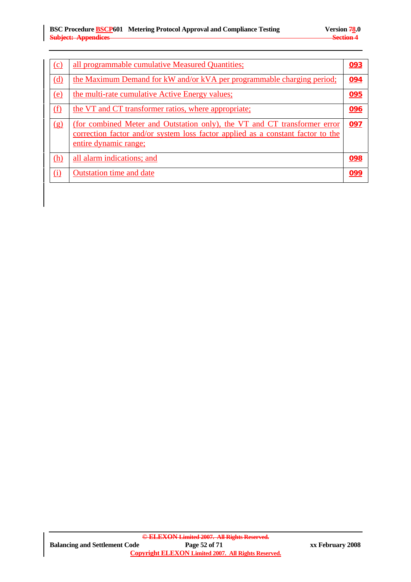| (c)        | all programmable cumulative Measured Quantities;                                                                                                                                      | 093 |
|------------|---------------------------------------------------------------------------------------------------------------------------------------------------------------------------------------|-----|
| (d)        | the Maximum Demand for kW and/or kVA per programmable charging period;                                                                                                                | 094 |
| (e)        | the multi-rate cumulative Active Energy values;                                                                                                                                       | 095 |
| (f)        | the VT and CT transformer ratios, where appropriate;                                                                                                                                  | 096 |
| (g)        | (for combined Meter and Outstation only), the VT and CT transformer error<br>correction factor and/or system loss factor applied as a constant factor to the<br>entire dynamic range; | 097 |
| <u>(h)</u> | all alarm indications; and                                                                                                                                                            | 098 |
| (i)        | <b>Outstation time and date</b>                                                                                                                                                       | 099 |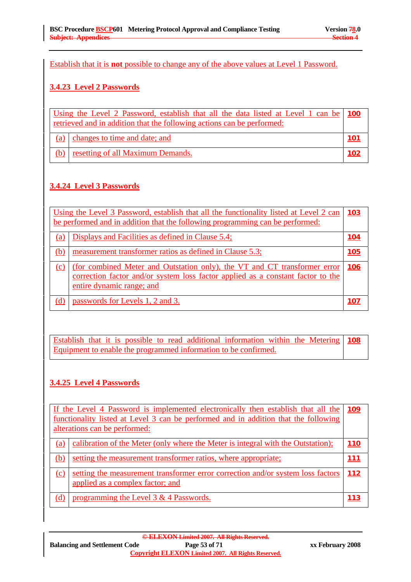Establish that it is **not** possible to change any of the above values at Level 1 Password.

## **3.4.23 Level 2 Passwords**

| Using the Level 2 Password, establish that all the data listed at Level 1 can be   100<br>retrieved and in addition that the following actions can be performed: |  |  |
|------------------------------------------------------------------------------------------------------------------------------------------------------------------|--|--|
| (a) changes to time and date; and                                                                                                                                |  |  |
| resetting of all Maximum Demands.                                                                                                                                |  |  |

# **3.4.24 Level 3 Passwords**

| Using the Level 3 Password, establish that all the functionality listed at Level 2 can<br>be performed and in addition that the following programming can be performed: |                                                                                                                                                                                           | <u>103</u>  |
|-------------------------------------------------------------------------------------------------------------------------------------------------------------------------|-------------------------------------------------------------------------------------------------------------------------------------------------------------------------------------------|-------------|
| (a)                                                                                                                                                                     | Displays and Facilities as defined in Clause 5.4;                                                                                                                                         | <u> 104</u> |
| (b)                                                                                                                                                                     | measurement transformer ratios as defined in Clause 5.3;                                                                                                                                  | 105         |
| (c)                                                                                                                                                                     | (for combined Meter and Outstation only), the VT and CT transformer error<br>correction factor and/or system loss factor applied as a constant factor to the<br>entire dynamic range; and | <b>106</b>  |
| (d)                                                                                                                                                                     | passwords for Levels 1, 2 and 3.                                                                                                                                                          |             |

Establish that it is possible to read additional information within the Metering Equipment to enable the programmed information to be confirmed. **108**

# **3.4.25 Level 4 Passwords**

| If the Level 4 Password is implemented electronically then establish that all the<br>functionality listed at Level 3 can be performed and in addition that the following<br>alterations can be performed: |                                                                                                                     | <b>109</b> |
|-----------------------------------------------------------------------------------------------------------------------------------------------------------------------------------------------------------|---------------------------------------------------------------------------------------------------------------------|------------|
| (a)                                                                                                                                                                                                       | calibration of the Meter (only where the Meter is integral with the Outstation);                                    | 110        |
| (b)                                                                                                                                                                                                       | setting the measurement transformer ratios, where appropriate;                                                      | 111        |
| $\circ$                                                                                                                                                                                                   | setting the measurement transformer error correction and/or system loss factors<br>applied as a complex factor; and | 112        |
| (d)                                                                                                                                                                                                       | programming the Level 3 & 4 Passwords.                                                                              | 113        |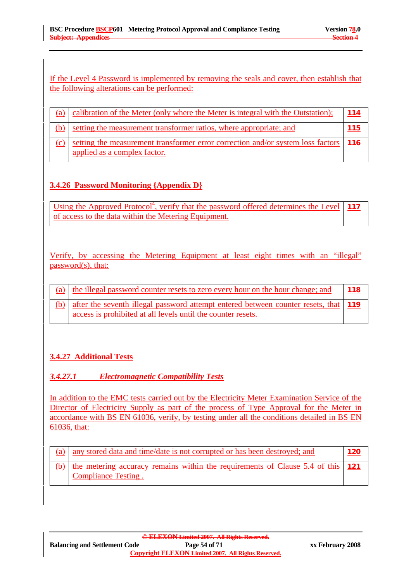### If the Level 4 Password is implemented by removing the seals and cover, then establish that the following alterations can be performed:

| (a) | calibration of the Meter (only where the Meter is integral with the Outstation);                                      | 114 |
|-----|-----------------------------------------------------------------------------------------------------------------------|-----|
|     | setting the measurement transformer ratios, where appropriate; and                                                    | 115 |
| (c) | setting the measurement transformer error correction and/or system loss factors   116<br>applied as a complex factor. |     |

# **3.4.26 Password Monitoring {Appendix D}**

Using the Approved Protocol<sup>4</sup>, verify that the password offered determines the Level of access to the data within the Metering Equipment. **117**

Verify, by accessing the Metering Equipment at least eight times with an "illegal" password(s), that:

| (a) the illegal password counter resets to zero every hour on the hour change; and                                                                      | 118 |
|---------------------------------------------------------------------------------------------------------------------------------------------------------|-----|
| (b) after the seventh illegal password attempt entered between counter resets, that 119<br>access is prohibited at all levels until the counter resets. |     |

# **3.4.27 Additional Tests**

# *3.4.27.1 Electromagnetic Compatibility Tests*

In addition to the EMC tests carried out by the Electricity Meter Examination Service of the Director of Electricity Supply as part of the process of Type Approval for the Meter in accordance with BS EN 61036, verify, by testing under all the conditions detailed in BS EN 61036, that:

| (a) any stored data and time/date is not corrupted or has been destroyed; and                                      | <u> 120</u> |
|--------------------------------------------------------------------------------------------------------------------|-------------|
| (b) the metering accuracy remains within the requirements of Clause 5.4 of this $\vert$ 121<br>Compliance Testing. |             |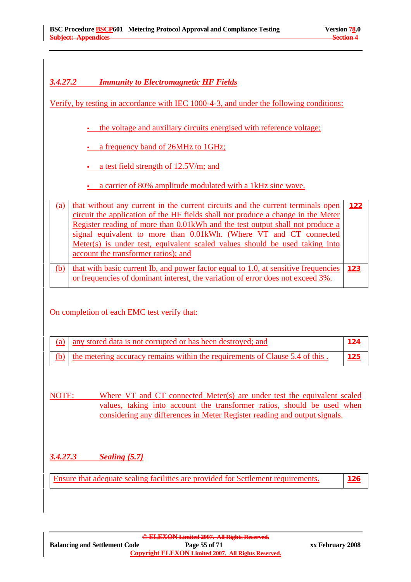## *3.4.27.2 Immunity to Electromagnetic HF Fields*

Verify, by testing in accordance with IEC 1000-4-3, and under the following conditions:

the voltage and auxiliary circuits energised with reference voltage;

a frequency band of 26MHz to 1GHz;

- a test field strength of 12.5V/m; and
- a carrier of 80% amplitude modulated with a 1kHz sine wave.

(a)  $\vert$  that without any current in the current circuits and the current terminals open circuit the application of the HF fields shall not produce a change in the Meter Register reading of more than 0.01kWh and the test output shall not produce a signal equivalent to more than 0.01kWh. (Where VT and CT connected Meter(s) is under test, equivalent scaled values should be used taking into account the transformer ratios); and **122** (b) that with basic current Ib, and power factor equal to 1.0, at sensitive frequencies 123 or frequencies of dominant interest, the variation of error does not exceed 3%.

#### On completion of each EMC test verify that:

| (a) any stored data is not corrupted or has been destroyed; and                  |             |
|----------------------------------------------------------------------------------|-------------|
| (b) the metering accuracy remains within the requirements of Clause 5.4 of this. | <u> 125</u> |

NOTE: Where VT and CT connected Meter(s) are under test the equivalent scaled values, taking into account the transformer ratios, should be used when considering any differences in Meter Register reading and output signals.

# *3.4.27.3 Sealing {5.7}*

Ensure that adequate sealing facilities are provided for Settlement requirements. **126**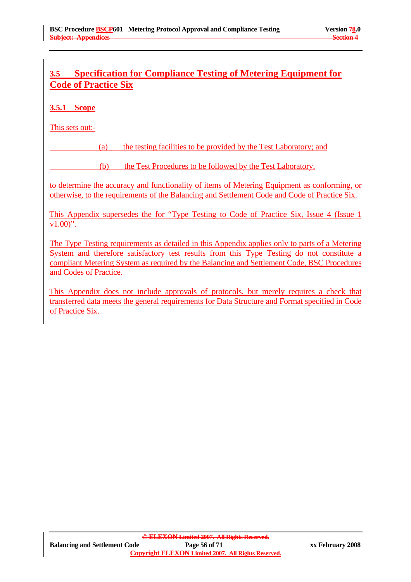# **3.5 Specification for Compliance Testing of Metering Equipment for Code of Practice Six**

# **3.5.1 Scope**

This sets out:-

(a) the testing facilities to be provided by the Test Laboratory; and

(b) the Test Procedures to be followed by the Test Laboratory,

to determine the accuracy and functionality of items of Metering Equipment as conforming, or otherwise, to the requirements of the Balancing and Settlement Code and Code of Practice Six.

This Appendix supersedes the for "Type Testing to Code of Practice Six, Issue 4 (Issue 1  $v1.00$ ".

The Type Testing requirements as detailed in this Appendix applies only to parts of a Metering System and therefore satisfactory test results from this Type Testing do not constitute a compliant Metering System as required by the Balancing and Settlement Code, BSC Procedures and Codes of Practice.

This Appendix does not include approvals of protocols, but merely requires a check that transferred data meets the general requirements for Data Structure and Format specified in Code of Practice Six.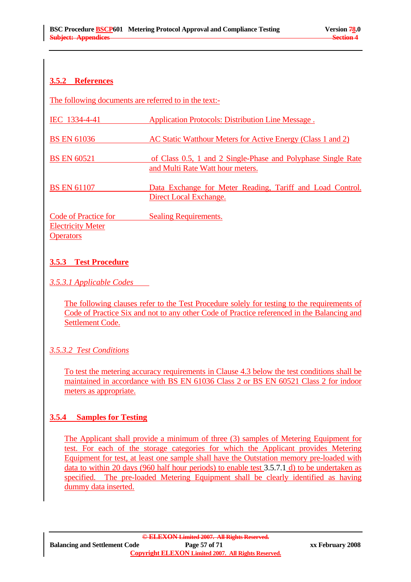# **3.5.2 References**

The following documents are referred to in the text:-

| IEC 1334-4-41 | <b>Application Protocols: Distribution Line Message.</b> |
|---------------|----------------------------------------------------------|
|               |                                                          |

BS EN 61036 **AC Static Watthour Meters for Active Energy (Class 1 and 2)** 

- BS EN 60521 of Class 0.5, 1 and 2 Single-Phase and Polyphase Single Rate and Multi Rate Watt hour meters.
- BS EN 61107 Data Exchange for Meter Reading, Tariff and Load Control. Direct Local Exchange.

Code of Practice for Sealing Requirements. Electricity Meter **Operators** 

# **3.5.3 Test Procedure**

# *3.5.3.1 Applicable Codes*

The following clauses refer to the Test Procedure solely for testing to the requirements of Code of Practice Six and not to any other Code of Practice referenced in the Balancing and Settlement Code.

# *3.5.3.2 Test Conditions*

To test the metering accuracy requirements in Clause 4.3 below the test conditions shall be maintained in accordance with BS EN 61036 Class 2 or BS EN 60521 Class 2 for indoor meters as appropriate.

# **3.5.4 Samples for Testing**

The Applicant shall provide a minimum of three (3) samples of Metering Equipment for test. For each of the storage categories for which the Applicant provides Metering Equipment for test, at least one sample shall have the Outstation memory pre-loaded with data to within 20 days (960 half hour periods) to enable test 3.5.7.1 d) to be undertaken as specified. The pre-loaded Metering Equipment shall be clearly identified as having dummy data inserted.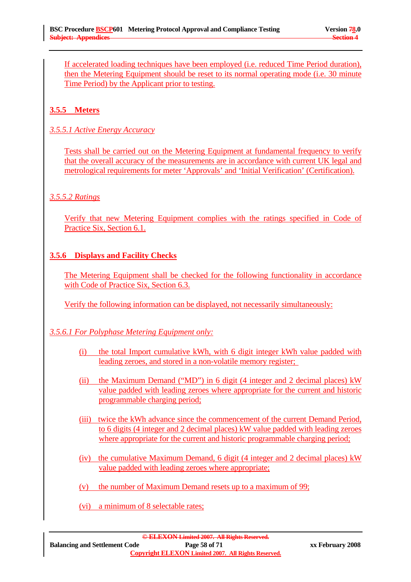If accelerated loading techniques have been employed (i.e. reduced Time Period duration), then the Metering Equipment should be reset to its normal operating mode (i.e. 30 minute Time Period) by the Applicant prior to testing.

# **3.5.5 Meters**

*3.5.5.1 Active Energy Accuracy*

Tests shall be carried out on the Metering Equipment at fundamental frequency to verify that the overall accuracy of the measurements are in accordance with current UK legal and metrological requirements for meter 'Approvals' and 'Initial Verification' (Certification).

### *3.5.5.2 Ratings*

Verify that new Metering Equipment complies with the ratings specified in Code of Practice Six, Section 6.1.

### **3.5.6 Displays and Facility Checks**

The Metering Equipment shall be checked for the following functionality in accordance with Code of Practice Six, Section 6.3.

Verify the following information can be displayed, not necessarily simultaneously:

# *3.5.6.1 For Polyphase Metering Equipment only:*

- (i) the total Import cumulative kWh, with 6 digit integer kWh value padded with leading zeroes, and stored in a non-volatile memory register;
- (ii) the Maximum Demand ("MD") in 6 digit (4 integer and 2 decimal places) kW value padded with leading zeroes where appropriate for the current and historic programmable charging period;
- (iii) twice the kWh advance since the commencement of the current Demand Period, to 6 digits (4 integer and 2 decimal places) kW value padded with leading zeroes where appropriate for the current and historic programmable charging period;
- (iv) the cumulative Maximum Demand, 6 digit (4 integer and 2 decimal places) kW value padded with leading zeroes where appropriate;
- (v) the number of Maximum Demand resets up to a maximum of 99;
- (vi) a minimum of 8 selectable rates;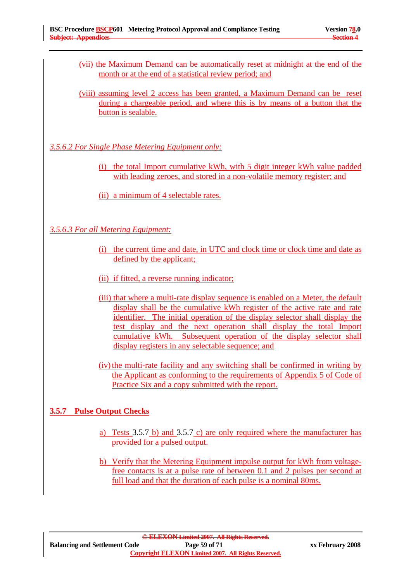- (vii) the Maximum Demand can be automatically reset at midnight at the end of the month or at the end of a statistical review period; and
- (viii) assuming level 2 access has been granted, a Maximum Demand can be reset during a chargeable period, and where this is by means of a button that the button is sealable.

*3.5.6.2 For Single Phase Metering Equipment only:*

(i) the total Import cumulative kWh, with 5 digit integer kWh value padded with leading zeroes, and stored in a non-volatile memory register; and

(ii) a minimum of 4 selectable rates.

*3.5.6.3 For all Metering Equipment:*

- (i) the current time and date, in UTC and clock time or clock time and date as defined by the applicant;
- (ii) if fitted, a reverse running indicator;
- (iii) that where a multi-rate display sequence is enabled on a Meter, the default display shall be the cumulative kWh register of the active rate and rate identifier. The initial operation of the display selector shall display the test display and the next operation shall display the total Import cumulative kWh. Subsequent operation of the display selector shall display registers in any selectable sequence; and
- (iv) the multi-rate facility and any switching shall be confirmed in writing by the Applicant as conforming to the requirements of Appendix 5 of Code of Practice Six and a copy submitted with the report.

# **3.5.7 Pulse Output Checks**

- a) Tests 3.5.7 b) and 3.5.7 c) are only required where the manufacturer has provided for a pulsed output.
- b) Verify that the Metering Equipment impulse output for kWh from voltagefree contacts is at a pulse rate of between 0.1 and 2 pulses per second at full load and that the duration of each pulse is a nominal 80ms.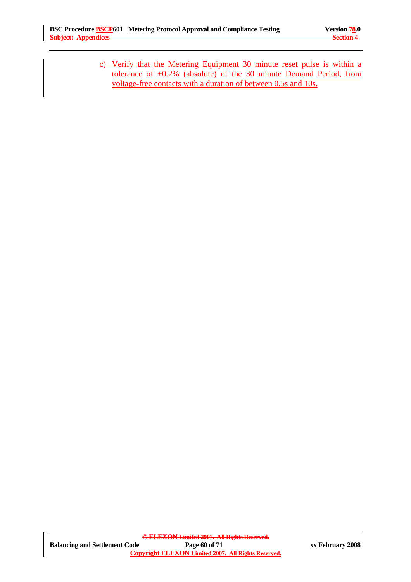c) Verify that the Metering Equipment 30 minute reset pulse is within a tolerance of  $\pm 0.2\%$  (absolute) of the 30 minute Demand Period, from voltage-free contacts with a duration of between 0.5s and 10s.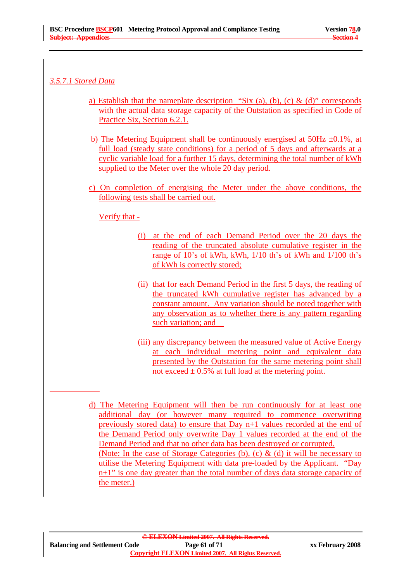## *3.5.7.1 Stored Data*

- a) Establish that the nameplate description "Six (a), (b), (c) & (d)" corresponds with the actual data storage capacity of the Outstation as specified in Code of Practice Six, Section 6.2.1.
- b) The Metering Equipment shall be continuously energised at  $50\text{Hz } \pm 0.1\%$ , at full load (steady state conditions) for a period of 5 days and afterwards at a cyclic variable load for a further 15 days, determining the total number of kWh supplied to the Meter over the whole 20 day period.
- c) On completion of energising the Meter under the above conditions, the following tests shall be carried out.

### Verify that -

- (i) at the end of each Demand Period over the 20 days the reading of the truncated absolute cumulative register in the range of 10's of kWh, kWh, 1/10 th's of kWh and 1/100 th's of kWh is correctly stored;
- (ii) that for each Demand Period in the first 5 days, the reading of the truncated kWh cumulative register has advanced by a constant amount. Any variation should be noted together with any observation as to whether there is any pattern regarding such variation; and
- (iii) any discrepancy between the measured value of Active Energy at each individual metering point and equivalent data presented by the Outstation for the same metering point shall not exceed  $\pm$  0.5% at full load at the metering point.
- d) The Metering Equipment will then be run continuously for at least one additional day (or however many required to commence overwriting previously stored data) to ensure that Day n+1 values recorded at the end of the Demand Period only overwrite Day 1 values recorded at the end of the Demand Period and that no other data has been destroyed or corrupted. (Note: In the case of Storage Categories (b), (c)  $\&$  (d) it will be necessary to utilise the Metering Equipment with data pre-loaded by the Applicant. "Day n+1" is one day greater than the total number of days data storage capacity of the meter.)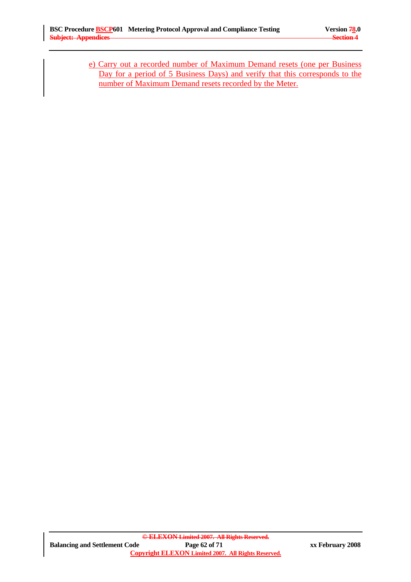e) Carry out a recorded number of Maximum Demand resets (one per Business Day for a period of 5 Business Days) and verify that this corresponds to the number of Maximum Demand resets recorded by the Meter.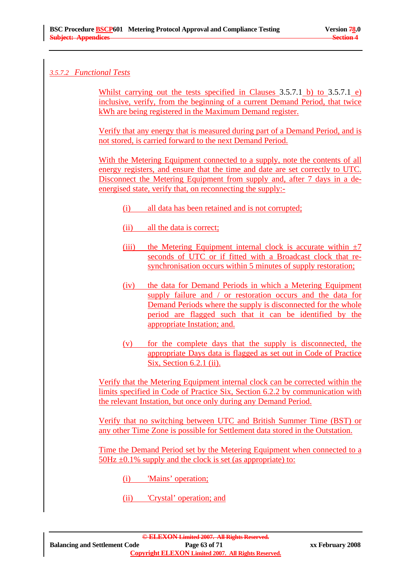## *3.5.7.2 Functional Tests*

Whilst carrying out the tests specified in Clauses 3.5.7.1 b) to 3.5.7.1 e) inclusive, verify, from the beginning of a current Demand Period, that twice kWh are being registered in the Maximum Demand register.

Verify that any energy that is measured during part of a Demand Period, and is not stored, is carried forward to the next Demand Period.

With the Metering Equipment connected to a supply, note the contents of all energy registers, and ensure that the time and date are set correctly to UTC. Disconnect the Metering Equipment from supply and, after 7 days in a deenergised state, verify that, on reconnecting the supply:-

- (i) all data has been retained and is not corrupted;
- (ii) all the data is correct;
- (iii) the Metering Equipment internal clock is accurate within  $\pm 7$ seconds of UTC or if fitted with a Broadcast clock that resynchronisation occurs within 5 minutes of supply restoration;
- (iv) the data for Demand Periods in which a Metering Equipment supply failure and / or restoration occurs and the data for Demand Periods where the supply is disconnected for the whole period are flagged such that it can be identified by the appropriate Instation; and.
- (v) for the complete days that the supply is disconnected, the appropriate Days data is flagged as set out in Code of Practice Six, Section 6.2.1 (ii).

Verify that the Metering Equipment internal clock can be corrected within the limits specified in Code of Practice Six, Section 6.2.2 by communication with the relevant Instation, but once only during any Demand Period.

Verify that no switching between UTC and British Summer Time (BST) or any other Time Zone is possible for Settlement data stored in the Outstation.

Time the Demand Period set by the Metering Equipment when connected to a  $50Hz \pm 0.1\%$  supply and the clock is set (as appropriate) to:

- (i) 'Mains' operation;
- (ii) 'Crystal' operation; and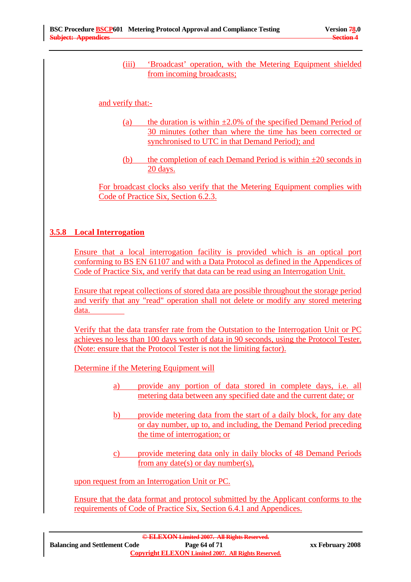(iii) 'Broadcast' operation, with the Metering Equipment shielded from incoming broadcasts;

#### and verify that:-

- (a) the duration is within  $\pm 2.0\%$  of the specified Demand Period of 30 minutes (other than where the time has been corrected or synchronised to UTC in that Demand Period); and
- (b) the completion of each Demand Period is within  $\pm 20$  seconds in 20 days.

For broadcast clocks also verify that the Metering Equipment complies with Code of Practice Six, Section 6.2.3.

#### **3.5.8 Local Interrogation**

Ensure that a local interrogation facility is provided which is an optical port conforming to BS EN 61107 and with a Data Protocol as defined in the Appendices of Code of Practice Six, and verify that data can be read using an Interrogation Unit.

Ensure that repeat collections of stored data are possible throughout the storage period and verify that any "read" operation shall not delete or modify any stored metering data.

Verify that the data transfer rate from the Outstation to the Interrogation Unit or PC achieves no less than 100 days worth of data in 90 seconds, using the Protocol Tester. (Note: ensure that the Protocol Tester is not the limiting factor).

Determine if the Metering Equipment will

- a) provide any portion of data stored in complete days, i.e. all metering data between any specified date and the current date; or
- b) provide metering data from the start of a daily block, for any date or day number, up to, and including, the Demand Period preceding the time of interrogation; or
- c) provide metering data only in daily blocks of 48 Demand Periods from any date(s) or day number(s),

upon request from an Interrogation Unit or PC.

Ensure that the data format and protocol submitted by the Applicant conforms to the requirements of Code of Practice Six, Section 6.4.1 and Appendices.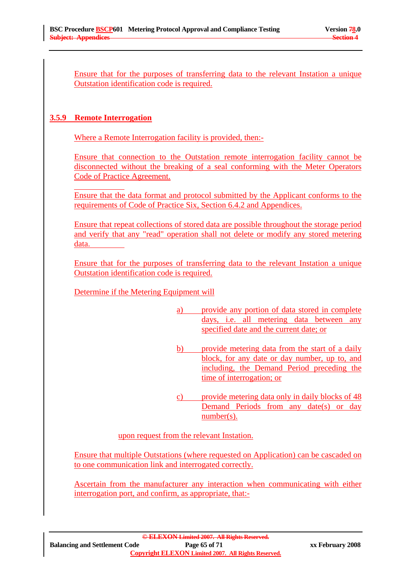Ensure that for the purposes of transferring data to the relevant Instation a unique Outstation identification code is required.

#### **3.5.9 Remote Interrogation**

Where a Remote Interrogation facility is provided, then:-

Ensure that connection to the Outstation remote interrogation facility cannot be disconnected without the breaking of a seal conforming with the Meter Operators Code of Practice Agreement.

Ensure that the data format and protocol submitted by the Applicant conforms to the requirements of Code of Practice Six, Section 6.4.2 and Appendices.

Ensure that repeat collections of stored data are possible throughout the storage period and verify that any "read" operation shall not delete or modify any stored metering data.

Ensure that for the purposes of transferring data to the relevant Instation a unique Outstation identification code is required.

Determine if the Metering Equipment will

- a) provide any portion of data stored in complete days, i.e. all metering data between any specified date and the current date; or
- b) provide metering data from the start of a daily block, for any date or day number, up to, and including, the Demand Period preceding the time of interrogation; or
- c) provide metering data only in daily blocks of 48 Demand Periods from any date(s) or day number(s).

upon request from the relevant Instation.

Ensure that multiple Outstations (where requested on Application) can be cascaded on to one communication link and interrogated correctly.

Ascertain from the manufacturer any interaction when communicating with either interrogation port, and confirm, as appropriate, that:-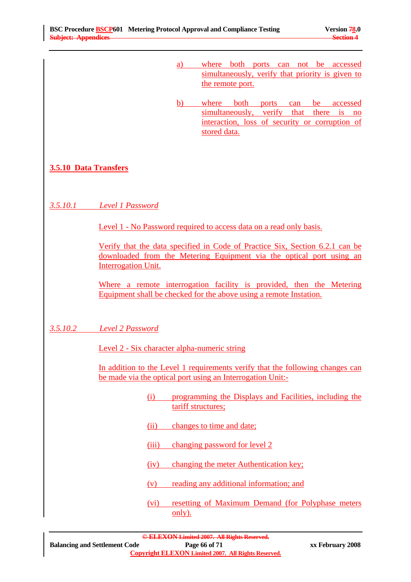- a) where both ports can not be accessed simultaneously, verify that priority is given to the remote port.
- b) where both ports can be accessed simultaneously, verify that there is no interaction, loss of security or corruption of stored data.

# **3.5.10 Data Transfers**

# *3.5.10.1 Level 1 Password*

Level 1 - No Password required to access data on a read only basis.

Verify that the data specified in Code of Practice Six, Section 6.2.1 can be downloaded from the Metering Equipment via the optical port using an Interrogation Unit.

Where a remote interrogation facility is provided, then the Metering Equipment shall be checked for the above using a remote Instation.

*3.5.10.2 Level 2 Password*

Level 2 - Six character alpha-numeric string

In addition to the Level 1 requirements verify that the following changes can be made via the optical port using an Interrogation Unit:-

- (i) programming the Displays and Facilities, including the tariff structures;
- (ii) changes to time and date;
- (iii) changing password for level 2
- (iv) changing the meter Authentication key;
- (v) reading any additional information; and
- (vi) resetting of Maximum Demand (for Polyphase meters only).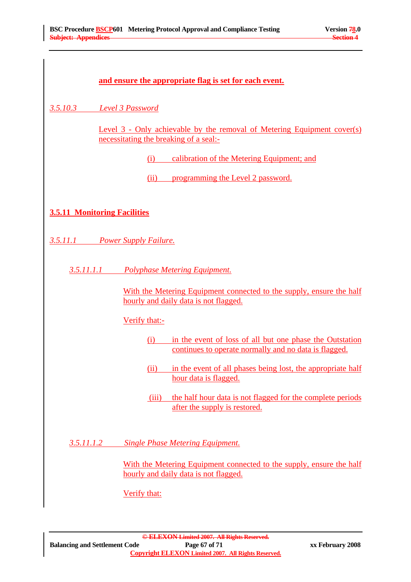| and ensure the appropriate flag is set for each event.                                                                   |  |
|--------------------------------------------------------------------------------------------------------------------------|--|
| 3.5.10.3<br>Level 3 Password                                                                                             |  |
| Level 3 - Only achievable by the removal of Metering Equipment cover(s)<br>necessitating the breaking of a seal:-        |  |
| calibration of the Metering Equipment; and<br>(i)                                                                        |  |
| programming the Level 2 password.<br>(ii)                                                                                |  |
| <b>3.5.11 Monitoring Facilities</b>                                                                                      |  |
| 3.5.11.1 Power Supply Failure.                                                                                           |  |
| 3.5.11.1.1<br><b>Polyphase Metering Equipment.</b>                                                                       |  |
| With the Metering Equipment connected to the supply, ensure the half<br>hourly and daily data is not flagged.            |  |
| Verify that:-                                                                                                            |  |
| in the event of loss of all but one phase the Outstation<br>(i)<br>continues to operate normally and no data is flagged. |  |
| in the event of all phases being lost, the appropriate half<br>(ii)<br>hour data is flagged.                             |  |
| the half hour data is not flagged for the complete periods<br>(iii)<br>after the supply is restored.                     |  |
| 3.5.11.1.2<br><b>Single Phase Metering Equipment.</b>                                                                    |  |
| With the Metering Equipment connected to the supply, ensure the half<br>hourly and daily data is not flagged.            |  |
| Verify that:                                                                                                             |  |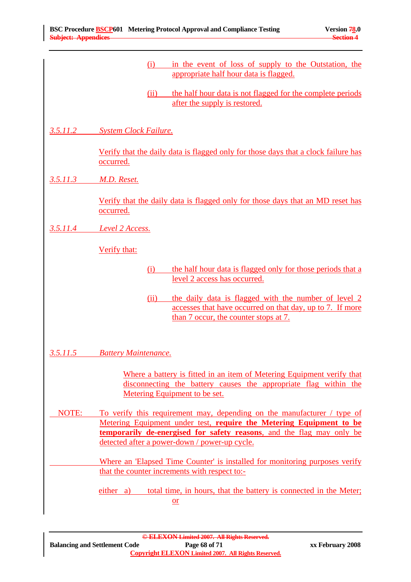|          | in the event of loss of supply to the Outstation, the<br>(i)<br>appropriate half hour data is flagged.                                                                                        |
|----------|-----------------------------------------------------------------------------------------------------------------------------------------------------------------------------------------------|
|          | the half hour data is not flagged for the complete periods<br>(ii)<br>after the supply is restored.                                                                                           |
| 3.5.11.2 | <b>System Clock Failure.</b>                                                                                                                                                                  |
|          | Verify that the daily data is flagged only for those days that a clock failure has<br>occurred.                                                                                               |
| 3.5.11.3 | M.D. Reset.                                                                                                                                                                                   |
|          | Verify that the daily data is flagged only for those days that an MD reset has<br>occurred.                                                                                                   |
| 3.5.11.4 | <b>Level 2 Access.</b>                                                                                                                                                                        |
|          | Verify that:                                                                                                                                                                                  |
|          | the half hour data is flagged only for those periods that a<br>(i)<br>level 2 access has occurred.                                                                                            |
|          | the daily data is flagged with the number of level 2<br>(ii)<br>accesses that have occurred on that day, up to 7. If more<br>than 7 occur, the counter stops at 7.                            |
| 3.5.11.5 | <b>Battery Maintenance.</b>                                                                                                                                                                   |
|          | Where a battery is fitted in an item of Metering Equipment verify that<br>disconnecting the battery causes the appropriate flag within the<br>Metering Equipment to be set.                   |
| NOTE:    | To verify this requirement may, depending on the manufacturer / type of                                                                                                                       |
|          | Metering Equipment under test, require the Metering Equipment to be<br>temporarily de-energised for safety reasons, and the flag may only be<br>detected after a power-down / power-up cycle. |
|          | Where an 'Elapsed Time Counter' is installed for monitoring purposes verify<br>that the counter increments with respect to:-                                                                  |
|          | total time, in hours, that the battery is connected in the Meter;<br>either a)<br>$or$                                                                                                        |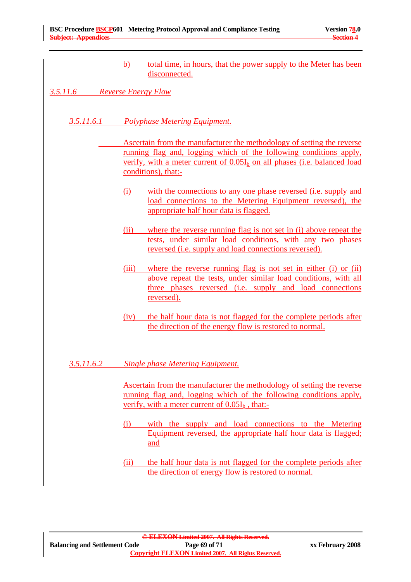b) total time, in hours, that the power supply to the Meter has been disconnected.

*3.5.11.6 Reverse Energy Flow*

- *3.5.11.6.1 Polyphase Metering Equipment.*
	- Ascertain from the manufacturer the methodology of setting the reverse running flag and, logging which of the following conditions apply, verify, with a meter current of  $0.05I<sub>b</sub>$  on all phases (i.e. balanced load conditions), that:-
		- (i) with the connections to any one phase reversed (i.e. supply and load connections to the Metering Equipment reversed), the appropriate half hour data is flagged.
		- (ii) where the reverse running flag is not set in (i) above repeat the tests, under similar load conditions, with any two phases reversed (i.e. supply and load connections reversed).
		- (iii) where the reverse running flag is not set in either (i) or (ii) above repeat the tests, under similar load conditions, with all three phases reversed (i.e. supply and load connections reversed).
		- (iv) the half hour data is not flagged for the complete periods after the direction of the energy flow is restored to normal.
- *3.5.11.6.2 Single phase Metering Equipment.*
	- Ascertain from the manufacturer the methodology of setting the reverse running flag and, logging which of the following conditions apply, verify, with a meter current of  $0.05I<sub>b</sub>$ , that:-
		- (i) with the supply and load connections to the Metering Equipment reversed, the appropriate half hour data is flagged; and
		- (ii) the half hour data is not flagged for the complete periods after the direction of energy flow is restored to normal.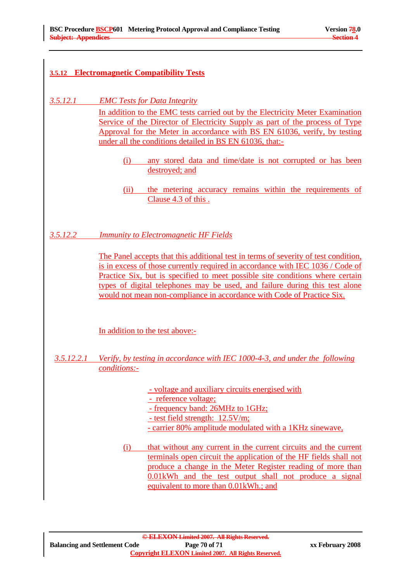# **3.5.12 Electromagnetic Compatibility Tests**

# *3.5.12.1 EMC Tests for Data Integrity*

In addition to the EMC tests carried out by the Electricity Meter Examination Service of the Director of Electricity Supply as part of the process of Type Approval for the Meter in accordance with BS EN 61036, verify, by testing under all the conditions detailed in BS EN 61036, that:-

- (i) any stored data and time/date is not corrupted or has been destroyed; and
- (ii) the metering accuracy remains within the requirements of Clause 4.3 of this .

*3.5.12.2 Immunity to Electromagnetic HF Fields*

The Panel accepts that this additional test in terms of severity of test condition, is in excess of those currently required in accordance with IEC 1036 / Code of Practice Six, but is specified to meet possible site conditions where certain types of digital telephones may be used, and failure during this test alone would not mean non-compliance in accordance with Code of Practice Six.

In addition to the test above:-

# *3.5.12.2.1 Verify, by testing in accordance with IEC 1000-4-3, and under the following conditions:-*

- voltage and auxiliary circuits energised with

- reference voltage;

- frequency band: 26MHz to 1GHz;
- test field strength: 12.5V/m;
- carrier 80% amplitude modulated with a 1KHz sinewave,
- (i) that without any current in the current circuits and the current terminals open circuit the application of the HF fields shall not produce a change in the Meter Register reading of more than 0.01kWh and the test output shall not produce a signal equivalent to more than 0.01kWh.; and